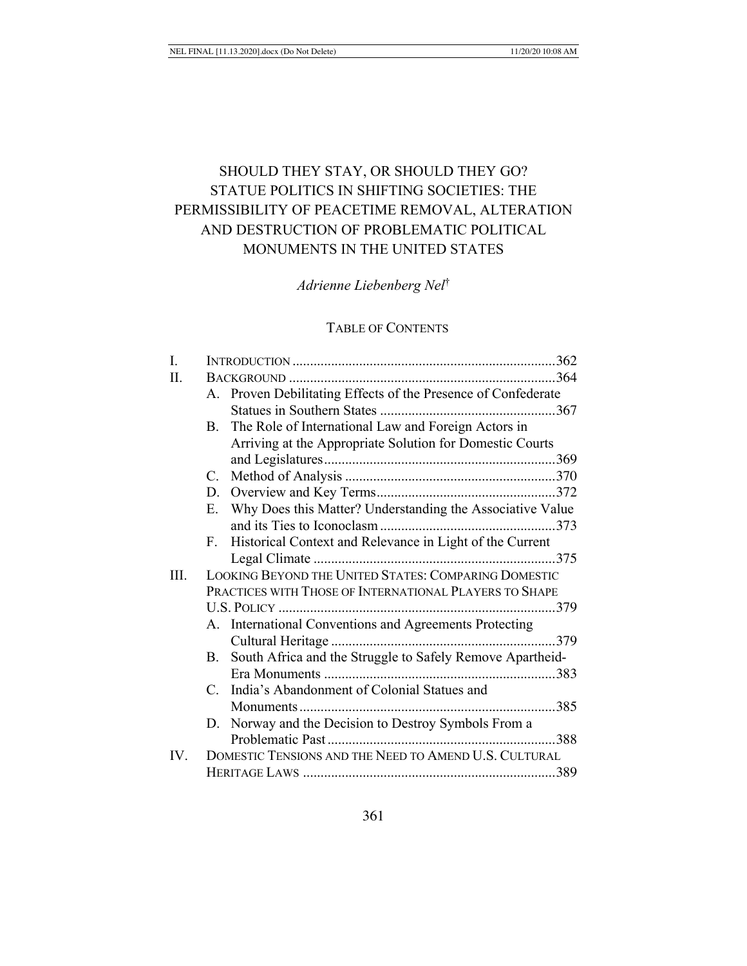# SHOULD THEY STAY, OR SHOULD THEY GO? STATUE POLITICS IN SHIFTING SOCIETIES: THE PERMISSIBILITY OF PEACETIME REMOVAL, ALTERATION AND DESTRUCTION OF PROBLEMATIC POLITICAL MONUMENTS IN THE UNITED STATES

*Adrienne Liebenberg Nel*†

## TABLE OF CONTENTS

| I.   |                                                      |                                                               |  |  |
|------|------------------------------------------------------|---------------------------------------------------------------|--|--|
| Π.   |                                                      |                                                               |  |  |
|      |                                                      | A. Proven Debilitating Effects of the Presence of Confederate |  |  |
|      |                                                      |                                                               |  |  |
|      |                                                      | B. The Role of International Law and Foreign Actors in        |  |  |
|      |                                                      | Arriving at the Appropriate Solution for Domestic Courts      |  |  |
|      |                                                      |                                                               |  |  |
|      | C.                                                   |                                                               |  |  |
|      |                                                      |                                                               |  |  |
|      |                                                      | E. Why Does this Matter? Understanding the Associative Value  |  |  |
|      |                                                      |                                                               |  |  |
|      | $F_{\cdot}$                                          | Historical Context and Relevance in Light of the Current      |  |  |
|      |                                                      |                                                               |  |  |
| III. | LOOKING BEYOND THE UNITED STATES: COMPARING DOMESTIC |                                                               |  |  |
|      |                                                      | PRACTICES WITH THOSE OF INTERNATIONAL PLAYERS TO SHAPE        |  |  |
|      |                                                      |                                                               |  |  |
|      |                                                      | A. International Conventions and Agreements Protecting        |  |  |
|      |                                                      |                                                               |  |  |
|      | <b>B.</b>                                            | South Africa and the Struggle to Safely Remove Apartheid-     |  |  |
|      |                                                      |                                                               |  |  |
|      |                                                      | C. India's Abandonment of Colonial Statues and                |  |  |
|      |                                                      |                                                               |  |  |
|      |                                                      | D. Norway and the Decision to Destroy Symbols From a          |  |  |
|      |                                                      |                                                               |  |  |
| IV.  |                                                      | DOMESTIC TENSIONS AND THE NEED TO AMEND U.S. CULTURAL         |  |  |
|      |                                                      |                                                               |  |  |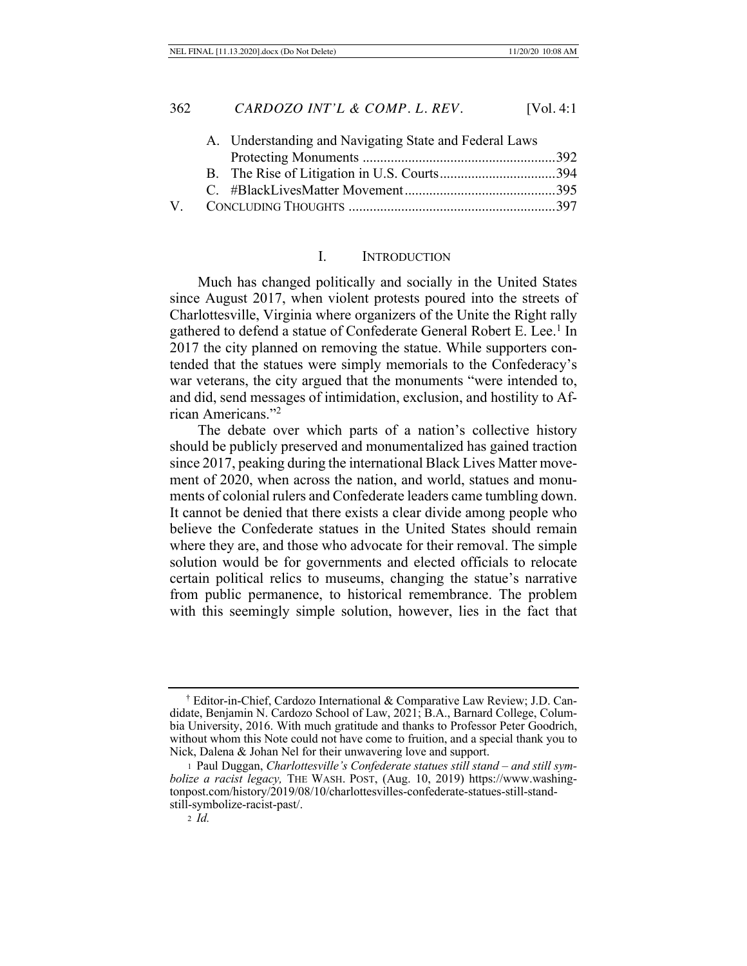|  | A. Understanding and Navigating State and Federal Laws |  |
|--|--------------------------------------------------------|--|
|  |                                                        |  |
|  |                                                        |  |
|  |                                                        |  |
|  |                                                        |  |
|  |                                                        |  |

#### I. INTRODUCTION

Much has changed politically and socially in the United States since August 2017, when violent protests poured into the streets of Charlottesville, Virginia where organizers of the Unite the Right rally gathered to defend a statue of Confederate General Robert E. Lee.<sup>1</sup> In 2017 the city planned on removing the statue. While supporters contended that the statues were simply memorials to the Confederacy's war veterans, the city argued that the monuments "were intended to, and did, send messages of intimidation, exclusion, and hostility to African Americans."2

The debate over which parts of a nation's collective history should be publicly preserved and monumentalized has gained traction since 2017, peaking during the international Black Lives Matter movement of 2020, when across the nation, and world, statues and monuments of colonial rulers and Confederate leaders came tumbling down. It cannot be denied that there exists a clear divide among people who believe the Confederate statues in the United States should remain where they are, and those who advocate for their removal. The simple solution would be for governments and elected officials to relocate certain political relics to museums, changing the statue's narrative from public permanence, to historical remembrance. The problem with this seemingly simple solution, however, lies in the fact that

<sup>†</sup> Editor-in-Chief, Cardozo International & Comparative Law Review; J.D. Candidate, Benjamin N. Cardozo School of Law, 2021; B.A., Barnard College, Columbia University, 2016. With much gratitude and thanks to Professor Peter Goodrich, without whom this Note could not have come to fruition, and a special thank you to Nick, Dalena & Johan Nel for their unwavering love and support.

<sup>1</sup> Paul Duggan, *Charlottesville's Confederate statues still stand – and still symbolize a racist legacy,* THE WASH. POST, (Aug. 10, 2019) https://www.washingtonpost.com/history/2019/08/10/charlottesvilles-confederate-statues-still-standstill-symbolize-racist-past/.

<sup>2</sup> *Id.*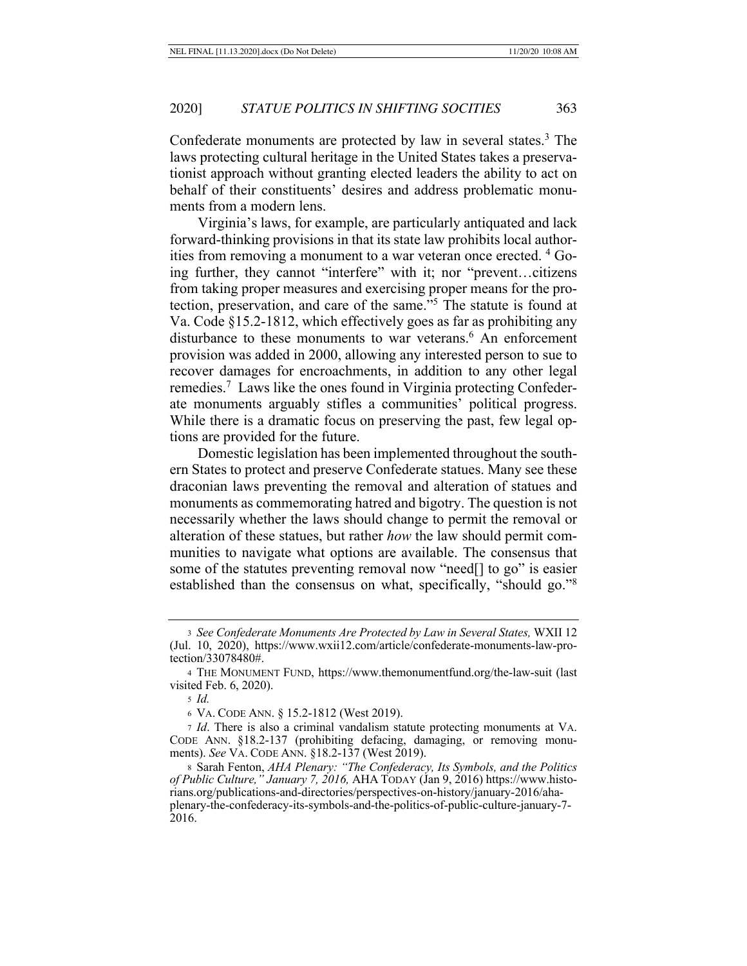Confederate monuments are protected by law in several states.<sup>3</sup> The laws protecting cultural heritage in the United States takes a preservationist approach without granting elected leaders the ability to act on behalf of their constituents' desires and address problematic monuments from a modern lens.

Virginia's laws, for example, are particularly antiquated and lack forward-thinking provisions in that its state law prohibits local authorities from removing a monument to a war veteran once erected. 4 Going further, they cannot "interfere" with it; nor "prevent…citizens from taking proper measures and exercising proper means for the protection, preservation, and care of the same."5 The statute is found at Va. Code §15.2-1812, which effectively goes as far as prohibiting any disturbance to these monuments to war veterans.<sup>6</sup> An enforcement provision was added in 2000, allowing any interested person to sue to recover damages for encroachments, in addition to any other legal remedies.<sup>7</sup> Laws like the ones found in Virginia protecting Confederate monuments arguably stifles a communities' political progress. While there is a dramatic focus on preserving the past, few legal options are provided for the future.

Domestic legislation has been implemented throughout the southern States to protect and preserve Confederate statues. Many see these draconian laws preventing the removal and alteration of statues and monuments as commemorating hatred and bigotry. The question is not necessarily whether the laws should change to permit the removal or alteration of these statues, but rather *how* the law should permit communities to navigate what options are available. The consensus that some of the statutes preventing removal now "need[] to go" is easier established than the consensus on what, specifically, "should go."8

6 VA. CODE ANN. § 15.2-1812 (West 2019).

<sup>3</sup> *See Confederate Monuments Are Protected by Law in Several States,* WXII 12 (Jul. 10, 2020), https://www.wxii12.com/article/confederate-monuments-law-protection/33078480#.

<sup>4</sup> THE MONUMENT FUND, https://www.themonumentfund.org/the-law-suit (last visited Feb. 6, 2020).

<sup>5</sup> *Id.*

<sup>7</sup> *Id*. There is also a criminal vandalism statute protecting monuments at VA. CODE ANN. §18.2-137 (prohibiting defacing, damaging, or removing monuments). *See* VA. CODE ANN. §18.2-137 (West 2019).

<sup>8</sup> Sarah Fenton, *AHA Plenary: "The Confederacy, Its Symbols, and the Politics of Public Culture," January 7, 2016,* AHA TODAY (Jan 9, 2016) https://www.historians.org/publications-and-directories/perspectives-on-history/january-2016/ahaplenary-the-confederacy-its-symbols-and-the-politics-of-public-culture-january-7- 2016.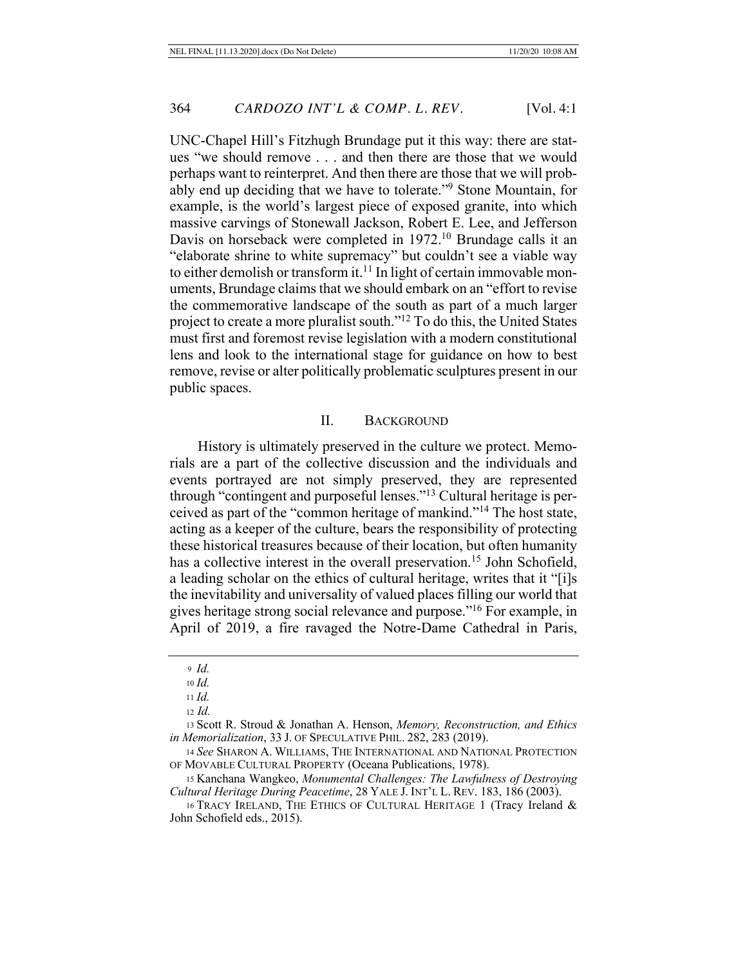UNC-Chapel Hill's Fitzhugh Brundage put it this way: there are statues "we should remove . . . and then there are those that we would perhaps want to reinterpret. And then there are those that we will probably end up deciding that we have to tolerate."9 Stone Mountain, for example, is the world's largest piece of exposed granite, into which massive carvings of Stonewall Jackson, Robert E. Lee, and Jefferson Davis on horseback were completed in 1972.<sup>10</sup> Brundage calls it an "elaborate shrine to white supremacy" but couldn't see a viable way to either demolish or transform it.<sup>11</sup> In light of certain immovable monuments, Brundage claims that we should embark on an "effort to revise the commemorative landscape of the south as part of a much larger project to create a more pluralist south."12 To do this, the United States must first and foremost revise legislation with a modern constitutional lens and look to the international stage for guidance on how to best remove, revise or alter politically problematic sculptures present in our public spaces.

## II. BACKGROUND

History is ultimately preserved in the culture we protect. Memorials are a part of the collective discussion and the individuals and events portrayed are not simply preserved, they are represented through "contingent and purposeful lenses."13 Cultural heritage is perceived as part of the "common heritage of mankind."14 The host state, acting as a keeper of the culture, bears the responsibility of protecting these historical treasures because of their location, but often humanity has a collective interest in the overall preservation.<sup>15</sup> John Schofield, a leading scholar on the ethics of cultural heritage, writes that it "[i]s the inevitability and universality of valued places filling our world that gives heritage strong social relevance and purpose."16 For example, in April of 2019, a fire ravaged the Notre-Dame Cathedral in Paris,

<sup>13</sup> Scott R. Stroud & Jonathan A. Henson, *Memory, Reconstruction, and Ethics in Memorialization*, 33 J. OF SPECULATIVE PHIL. 282, 283 (2019).

<sup>14</sup> *See* SHARON A. WILLIAMS, THE INTERNATIONAL AND NATIONAL PROTECTION OF MOVABLE CULTURAL PROPERTY (Oceana Publications, 1978).

<sup>15</sup> Kanchana Wangkeo, *Monumental Challenges: The Lawfulness of Destroying Cultural Heritage During Peacetime*, 28 YALE J. INT'L L. REV. 183, 186 (2003).

16 TRACY IRELAND, THE ETHICS OF CULTURAL HERITAGE 1 (Tracy Ireland & John Schofield eds., 2015).

<sup>9</sup> *Id.*

<sup>10</sup> *Id.*

<sup>11</sup> *Id.*

<sup>12</sup> *Id.*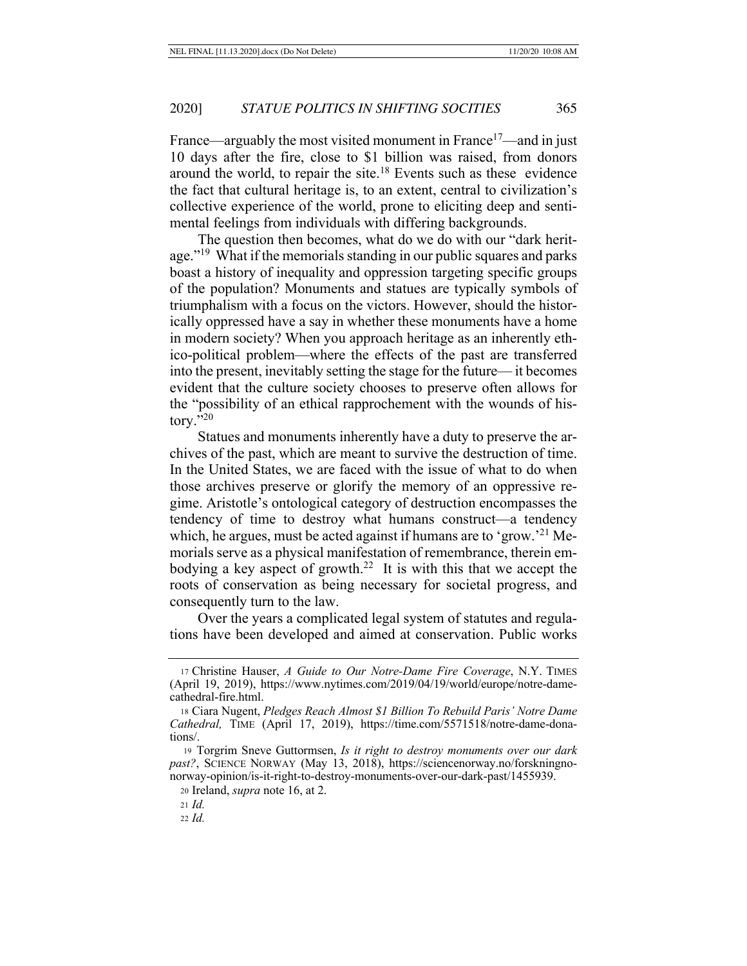France—arguably the most visited monument in France<sup>17</sup>—and in just 10 days after the fire, close to \$1 billion was raised, from donors around the world, to repair the site.18 Events such as these evidence the fact that cultural heritage is, to an extent, central to civilization's collective experience of the world, prone to eliciting deep and sentimental feelings from individuals with differing backgrounds.

The question then becomes, what do we do with our "dark heritage."<sup>19</sup> What if the memorials standing in our public squares and parks boast a history of inequality and oppression targeting specific groups of the population? Monuments and statues are typically symbols of triumphalism with a focus on the victors. However, should the historically oppressed have a say in whether these monuments have a home in modern society? When you approach heritage as an inherently ethico-political problem—where the effects of the past are transferred into the present, inevitably setting the stage for the future— it becomes evident that the culture society chooses to preserve often allows for the "possibility of an ethical rapprochement with the wounds of history."20

Statues and monuments inherently have a duty to preserve the archives of the past, which are meant to survive the destruction of time. In the United States, we are faced with the issue of what to do when those archives preserve or glorify the memory of an oppressive regime. Aristotle's ontological category of destruction encompasses the tendency of time to destroy what humans construct—a tendency which, he argues, must be acted against if humans are to 'grow.'<sup>21</sup> Memorials serve as a physical manifestation of remembrance, therein embodying a key aspect of growth.<sup>22</sup> It is with this that we accept the roots of conservation as being necessary for societal progress, and consequently turn to the law.

Over the years a complicated legal system of statutes and regulations have been developed and aimed at conservation. Public works

<sup>20</sup> Ireland, *supra* note 16, at 2.

<sup>21</sup> *Id.*

<sup>22</sup> *Id.*

<sup>17</sup> Christine Hauser, *A Guide to Our Notre-Dame Fire Coverage*, N.Y. TIMES (April 19, 2019), https://www.nytimes.com/2019/04/19/world/europe/notre-damecathedral-fire.html.

<sup>18</sup> Ciara Nugent, *Pledges Reach Almost \$1 Billion To Rebuild Paris' Notre Dame Cathedral,* TIME (April 17, 2019), https://time.com/5571518/notre-dame-donations/.

<sup>19</sup> Torgrim Sneve Guttormsen, *Is it right to destroy monuments over our dark past?*, SCIENCE NORWAY (May 13, 2018), https://sciencenorway.no/forskningnonorway-opinion/is-it-right-to-destroy-monuments-over-our-dark-past/1455939.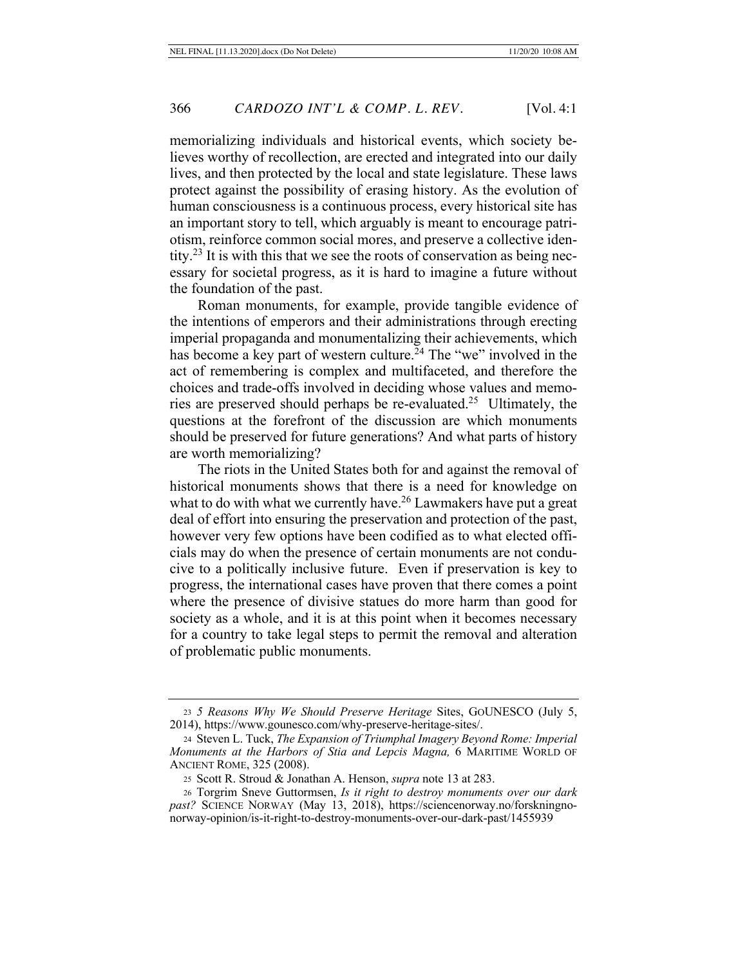memorializing individuals and historical events, which society believes worthy of recollection, are erected and integrated into our daily lives, and then protected by the local and state legislature. These laws protect against the possibility of erasing history. As the evolution of human consciousness is a continuous process, every historical site has an important story to tell, which arguably is meant to encourage patriotism, reinforce common social mores, and preserve a collective identity.<sup>23</sup> It is with this that we see the roots of conservation as being necessary for societal progress, as it is hard to imagine a future without the foundation of the past.

Roman monuments, for example, provide tangible evidence of the intentions of emperors and their administrations through erecting imperial propaganda and monumentalizing their achievements, which has become a key part of western culture.<sup>24</sup> The "we" involved in the act of remembering is complex and multifaceted, and therefore the choices and trade-offs involved in deciding whose values and memories are preserved should perhaps be re-evaluated.25 Ultimately, the questions at the forefront of the discussion are which monuments should be preserved for future generations? And what parts of history are worth memorializing?

The riots in the United States both for and against the removal of historical monuments shows that there is a need for knowledge on what to do with what we currently have.<sup>26</sup> Lawmakers have put a great deal of effort into ensuring the preservation and protection of the past, however very few options have been codified as to what elected officials may do when the presence of certain monuments are not conducive to a politically inclusive future. Even if preservation is key to progress, the international cases have proven that there comes a point where the presence of divisive statues do more harm than good for society as a whole, and it is at this point when it becomes necessary for a country to take legal steps to permit the removal and alteration of problematic public monuments.

<sup>23</sup> *5 Reasons Why We Should Preserve Heritage* Sites, GOUNESCO (July 5, 2014), https://www.gounesco.com/why-preserve-heritage-sites/.

<sup>24</sup> Steven L. Tuck, *The Expansion of Triumphal Imagery Beyond Rome: Imperial Monuments at the Harbors of Stia and Lepcis Magna,* 6 MARITIME WORLD OF ANCIENT ROME, 325 (2008).

<sup>25</sup> Scott R. Stroud & Jonathan A. Henson, *supra* note 13 at 283.

<sup>26</sup> Torgrim Sneve Guttormsen, *Is it right to destroy monuments over our dark past?* SCIENCE NORWAY (May 13, 2018), https://sciencenorway.no/forskningnonorway-opinion/is-it-right-to-destroy-monuments-over-our-dark-past/1455939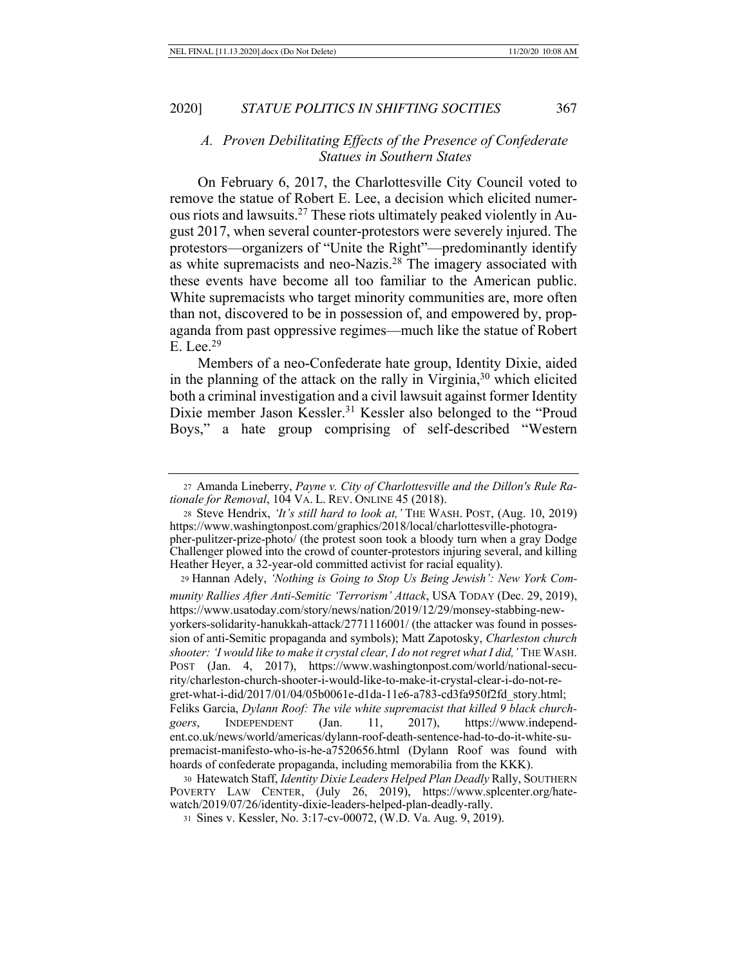## *A. Proven Debilitating Effects of the Presence of Confederate Statues in Southern States*

On February 6, 2017, the Charlottesville City Council voted to remove the statue of Robert E. Lee, a decision which elicited numerous riots and lawsuits.27 These riots ultimately peaked violently in August 2017, when several counter-protestors were severely injured. The protestors—organizers of "Unite the Right"—predominantly identify as white supremacists and neo-Nazis.28 The imagery associated with these events have become all too familiar to the American public. White supremacists who target minority communities are, more often than not, discovered to be in possession of, and empowered by, propaganda from past oppressive regimes—much like the statue of Robert E. Lee.29

Members of a neo-Confederate hate group, Identity Dixie, aided in the planning of the attack on the rally in Virginia, $30$  which elicited both a criminal investigation and a civil lawsuit against former Identity Dixie member Jason Kessler.<sup>31</sup> Kessler also belonged to the "Proud" Boys," a hate group comprising of self-described "Western

<sup>28</sup> Steve Hendrix, *'It's still hard to look at,'* THE WASH. POST, (Aug. 10, 2019) https://www.washingtonpost.com/graphics/2018/local/charlottesville-photographer-pulitzer-prize-photo/ (the protest soon took a bloody turn when a gray Dodge Challenger plowed into the crowd of counter-protestors injuring several, and killing Heather Heyer, a 32-year-old committed activist for racial equality).

<sup>29</sup> Hannan Adely, *'Nothing is Going to Stop Us Being Jewish': New York Community Rallies After Anti-Semitic 'Terrorism' Attack*, USA TODAY (Dec. 29, 2019), https://www.usatoday.com/story/news/nation/2019/12/29/monsey-stabbing-newyorkers-solidarity-hanukkah-attack/2771116001/ (the attacker was found in possession of anti-Semitic propaganda and symbols); Matt Zapotosky, *Charleston church shooter: 'I would like to make it crystal clear, I do not regret what I did,'* THE WASH. POST (Jan. 4, 2017), https://www.washingtonpost.com/world/national-security/charleston-church-shooter-i-would-like-to-make-it-crystal-clear-i-do-not-regret-what-i-did/2017/01/04/05b0061e-d1da-11e6-a783-cd3fa950f2fd\_story.html; Feliks Garcia, *Dylann Roof: The vile white supremacist that killed 9 black churchgoers*, INDEPENDENT (Jan. 11, 2017), https://www.independent.co.uk/news/world/americas/dylann-roof-death-sentence-had-to-do-it-white-supremacist-manifesto-who-is-he-a7520656.html (Dylann Roof was found with hoards of confederate propaganda, including memorabilia from the KKK).

<sup>27</sup> Amanda Lineberry, *Payne v. City of Charlottesville and the Dillon's Rule Rationale for Removal*, 104 VA. L. REV. ONLINE 45 (2018).

<sup>30</sup> Hatewatch Staff, *Identity Dixie Leaders Helped Plan Deadly* Rally, SOUTHERN POVERTY LAW CENTER, (July 26, 2019), https://www.splcenter.org/hatewatch/2019/07/26/identity-dixie-leaders-helped-plan-deadly-rally.

<sup>31</sup> Sines v. Kessler, No. 3:17-cv-00072, (W.D. Va. Aug. 9, 2019).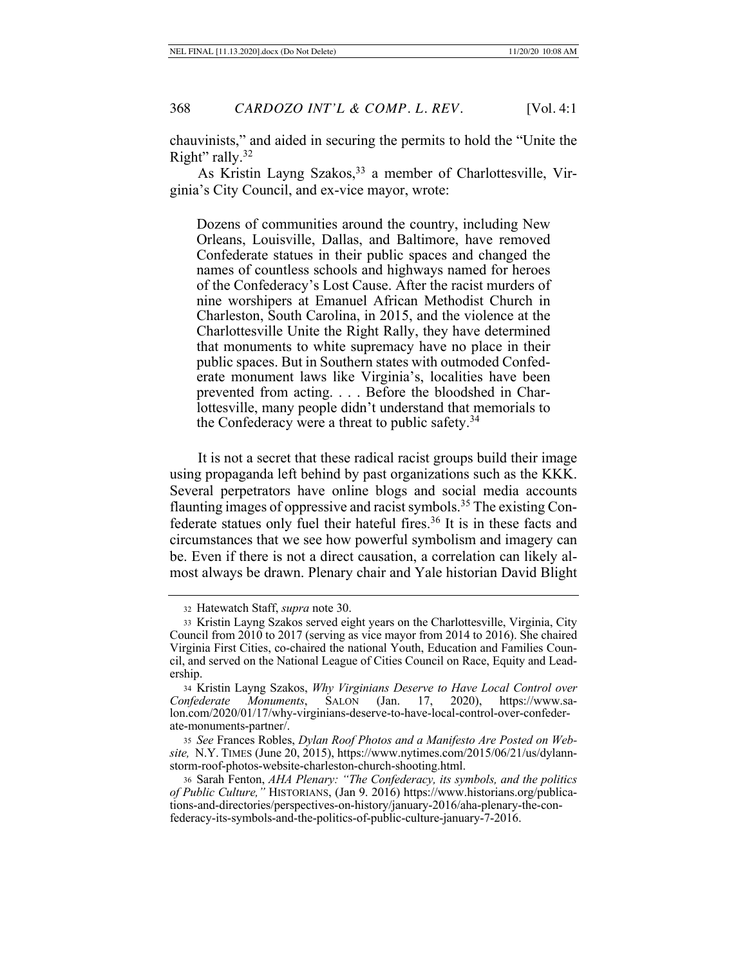chauvinists," and aided in securing the permits to hold the "Unite the Right" rally.<sup>32</sup>

As Kristin Layng Szakos,<sup>33</sup> a member of Charlottesville, Virginia's City Council, and ex-vice mayor, wrote:

Dozens of communities around the country, including New Orleans, Louisville, Dallas, and Baltimore, have removed Confederate statues in their public spaces and changed the names of countless schools and highways named for heroes of the Confederacy's Lost Cause. After the racist murders of nine worshipers at Emanuel African Methodist Church in Charleston, South Carolina, in 2015, and the violence at the Charlottesville Unite the Right Rally, they have determined that monuments to white supremacy have no place in their public spaces. But in Southern states with outmoded Confederate monument laws like Virginia's, localities have been prevented from acting. . . . Before the bloodshed in Charlottesville, many people didn't understand that memorials to the Confederacy were a threat to public safety.34

It is not a secret that these radical racist groups build their image using propaganda left behind by past organizations such as the KKK. Several perpetrators have online blogs and social media accounts flaunting images of oppressive and racist symbols.35 The existing Confederate statues only fuel their hateful fires.<sup>36</sup> It is in these facts and circumstances that we see how powerful symbolism and imagery can be. Even if there is not a direct causation, a correlation can likely almost always be drawn. Plenary chair and Yale historian David Blight

<sup>35</sup> *See* Frances Robles, *Dylan Roof Photos and a Manifesto Are Posted on Website,* N.Y. TIMES (June 20, 2015), https://www.nytimes.com/2015/06/21/us/dylannstorm-roof-photos-website-charleston-church-shooting.html.

<sup>36</sup> Sarah Fenton, *AHA Plenary: "The Confederacy, its symbols, and the politics of Public Culture,"* HISTORIANS, (Jan 9. 2016) https://www.historians.org/publications-and-directories/perspectives-on-history/january-2016/aha-plenary-the-confederacy-its-symbols-and-the-politics-of-public-culture-january-7-2016.

<sup>32</sup> Hatewatch Staff, *supra* note 30.

<sup>33</sup> Kristin Layng Szakos served eight years on the Charlottesville, Virginia, City Council from 2010 to 2017 (serving as vice mayor from 2014 to 2016). She chaired Virginia First Cities, co-chaired the national Youth, Education and Families Council, and served on the National League of Cities Council on Race, Equity and Leadership.

<sup>34</sup> Kristin Layng Szakos, *Why Virginians Deserve to Have Local Control over Confederate Monuments*, SALON (Jan. 17, 2020), https://www.salon.com/2020/01/17/why-virginians-deserve-to-have-local-control-over-confederate-monuments-partner/.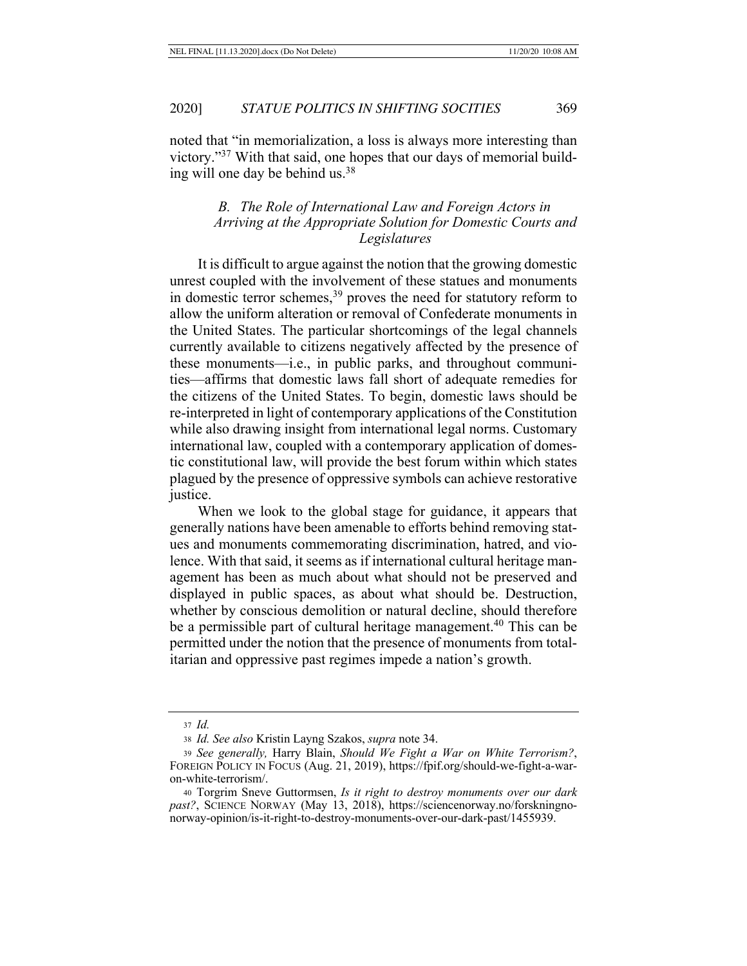noted that "in memorialization, a loss is always more interesting than victory."37 With that said, one hopes that our days of memorial building will one day be behind us.38

## *B. The Role of International Law and Foreign Actors in Arriving at the Appropriate Solution for Domestic Courts and Legislatures*

It is difficult to argue against the notion that the growing domestic unrest coupled with the involvement of these statues and monuments in domestic terror schemes,<sup>39</sup> proves the need for statutory reform to allow the uniform alteration or removal of Confederate monuments in the United States. The particular shortcomings of the legal channels currently available to citizens negatively affected by the presence of these monuments—i.e., in public parks, and throughout communities—affirms that domestic laws fall short of adequate remedies for the citizens of the United States. To begin, domestic laws should be re-interpreted in light of contemporary applications of the Constitution while also drawing insight from international legal norms. Customary international law, coupled with a contemporary application of domestic constitutional law, will provide the best forum within which states plagued by the presence of oppressive symbols can achieve restorative justice.

When we look to the global stage for guidance, it appears that generally nations have been amenable to efforts behind removing statues and monuments commemorating discrimination, hatred, and violence. With that said, it seems as if international cultural heritage management has been as much about what should not be preserved and displayed in public spaces, as about what should be. Destruction, whether by conscious demolition or natural decline, should therefore be a permissible part of cultural heritage management.<sup>40</sup> This can be permitted under the notion that the presence of monuments from totalitarian and oppressive past regimes impede a nation's growth.

<sup>37</sup> *Id.*

<sup>38</sup> *Id. See also* Kristin Layng Szakos, *supra* note 34.

<sup>39</sup> *See generally,* Harry Blain, *Should We Fight a War on White Terrorism?*, FOREIGN POLICY IN FOCUS (Aug. 21, 2019), https://fpif.org/should-we-fight-a-waron-white-terrorism/.

<sup>40</sup> Torgrim Sneve Guttormsen, *Is it right to destroy monuments over our dark past?*, SCIENCE NORWAY (May 13, 2018), https://sciencenorway.no/forskningnonorway-opinion/is-it-right-to-destroy-monuments-over-our-dark-past/1455939.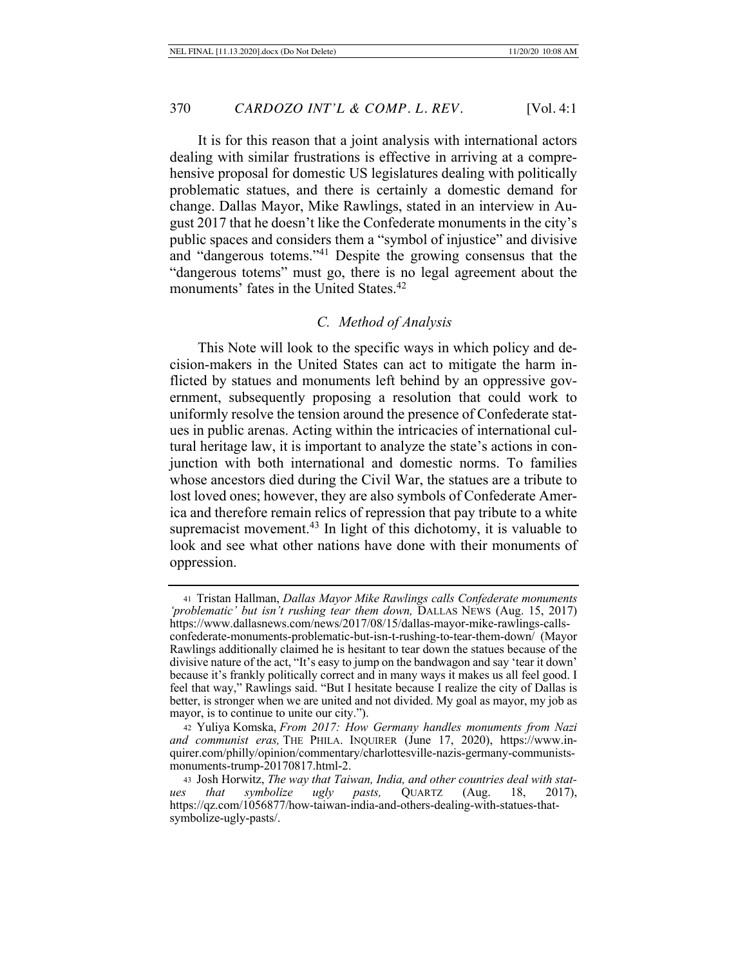It is for this reason that a joint analysis with international actors dealing with similar frustrations is effective in arriving at a comprehensive proposal for domestic US legislatures dealing with politically problematic statues, and there is certainly a domestic demand for change. Dallas Mayor, Mike Rawlings, stated in an interview in August 2017 that he doesn't like the Confederate monuments in the city's public spaces and considers them a "symbol of injustice" and divisive and "dangerous totems."41 Despite the growing consensus that the "dangerous totems" must go, there is no legal agreement about the monuments' fates in the United States.<sup>42</sup>

# *C. Method of Analysis*

This Note will look to the specific ways in which policy and decision-makers in the United States can act to mitigate the harm inflicted by statues and monuments left behind by an oppressive government, subsequently proposing a resolution that could work to uniformly resolve the tension around the presence of Confederate statues in public arenas. Acting within the intricacies of international cultural heritage law, it is important to analyze the state's actions in conjunction with both international and domestic norms. To families whose ancestors died during the Civil War, the statues are a tribute to lost loved ones; however, they are also symbols of Confederate America and therefore remain relics of repression that pay tribute to a white supremacist movement. $43$  In light of this dichotomy, it is valuable to look and see what other nations have done with their monuments of oppression.

<sup>42</sup> Yuliya Komska, *From 2017: How Germany handles monuments from Nazi and communist eras,* THE PHILA. INQUIRER (June 17, 2020), https://www.inquirer.com/philly/opinion/commentary/charlottesville-nazis-germany-communistsmonuments-trump-20170817.html-2.

<sup>43</sup> Josh Horwitz, *The way that Taiwan, India, and other countries deal with statues that symbolize ugly pasts,* QUARTZ (Aug. 18, 2017), https://qz.com/1056877/how-taiwan-india-and-others-dealing-with-statues-thatsymbolize-ugly-pasts/.

<sup>41</sup> Tristan Hallman, *Dallas Mayor Mike Rawlings calls Confederate monuments 'problematic' but isn't rushing tear them down,* DALLAS NEWS (Aug. 15, 2017) https://www.dallasnews.com/news/2017/08/15/dallas-mayor-mike-rawlings-callsconfederate-monuments-problematic-but-isn-t-rushing-to-tear-them-down/ (Mayor Rawlings additionally claimed he is hesitant to tear down the statues because of the divisive nature of the act, "It's easy to jump on the bandwagon and say 'tear it down' because it's frankly politically correct and in many ways it makes us all feel good. I feel that way," Rawlings said. "But I hesitate because I realize the city of Dallas is better, is stronger when we are united and not divided. My goal as mayor, my job as mayor, is to continue to unite our city.").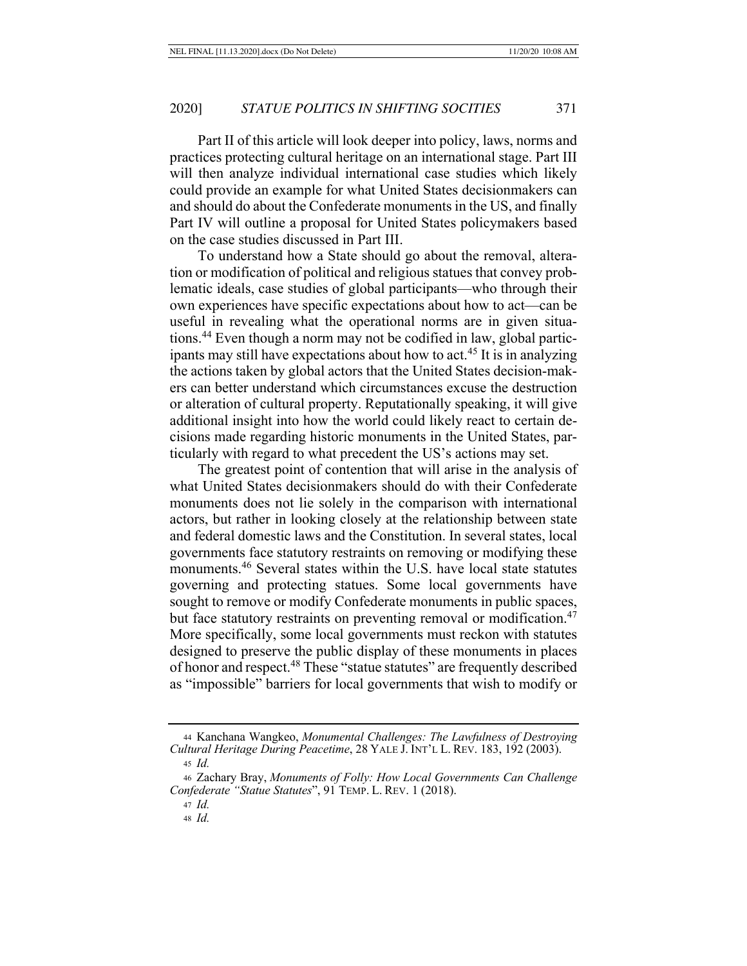Part II of this article will look deeper into policy, laws, norms and practices protecting cultural heritage on an international stage. Part III will then analyze individual international case studies which likely could provide an example for what United States decisionmakers can and should do about the Confederate monuments in the US, and finally Part IV will outline a proposal for United States policymakers based on the case studies discussed in Part III.

To understand how a State should go about the removal, alteration or modification of political and religious statues that convey problematic ideals, case studies of global participants—who through their own experiences have specific expectations about how to act—can be useful in revealing what the operational norms are in given situations.44 Even though a norm may not be codified in law, global participants may still have expectations about how to act.<sup>45</sup> It is in analyzing the actions taken by global actors that the United States decision-makers can better understand which circumstances excuse the destruction or alteration of cultural property. Reputationally speaking, it will give additional insight into how the world could likely react to certain decisions made regarding historic monuments in the United States, particularly with regard to what precedent the US's actions may set.

The greatest point of contention that will arise in the analysis of what United States decisionmakers should do with their Confederate monuments does not lie solely in the comparison with international actors, but rather in looking closely at the relationship between state and federal domestic laws and the Constitution. In several states, local governments face statutory restraints on removing or modifying these monuments.46 Several states within the U.S. have local state statutes governing and protecting statues. Some local governments have sought to remove or modify Confederate monuments in public spaces, but face statutory restraints on preventing removal or modification.<sup>47</sup> More specifically, some local governments must reckon with statutes designed to preserve the public display of these monuments in places of honor and respect.48 These "statue statutes" are frequently described as "impossible" barriers for local governments that wish to modify or

<sup>44</sup> Kanchana Wangkeo, *Monumental Challenges: The Lawfulness of Destroying Cultural Heritage During Peacetime*, 28 YALE J. INT'L L. REV. 183, 192 (2003). <sup>45</sup> *Id.*

<sup>46</sup> Zachary Bray, *Monuments of Folly: How Local Governments Can Challenge Confederate "Statue Statutes*", 91 TEMP. L. REV. 1 (2018).

<sup>47</sup> *Id.*

<sup>48</sup> *Id.*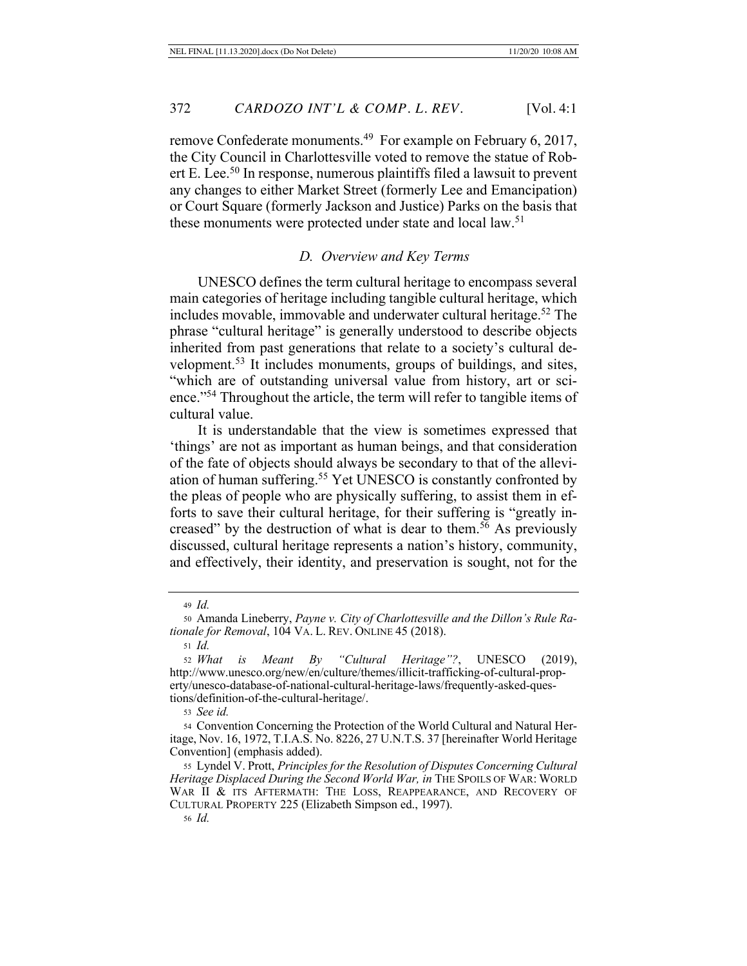remove Confederate monuments.<sup>49</sup> For example on February 6, 2017, the City Council in Charlottesville voted to remove the statue of Robert E. Lee.50 In response, numerous plaintiffs filed a lawsuit to prevent any changes to either Market Street (formerly Lee and Emancipation) or Court Square (formerly Jackson and Justice) Parks on the basis that these monuments were protected under state and local law.<sup>51</sup>

## *D. Overview and Key Terms*

UNESCO defines the term cultural heritage to encompass several main categories of heritage including tangible cultural heritage, which includes movable, immovable and underwater cultural heritage.52 The phrase "cultural heritage" is generally understood to describe objects inherited from past generations that relate to a society's cultural development.53 It includes monuments, groups of buildings, and sites, "which are of outstanding universal value from history, art or science."54 Throughout the article, the term will refer to tangible items of cultural value.

It is understandable that the view is sometimes expressed that 'things' are not as important as human beings, and that consideration of the fate of objects should always be secondary to that of the alleviation of human suffering.55 Yet UNESCO is constantly confronted by the pleas of people who are physically suffering, to assist them in efforts to save their cultural heritage, for their suffering is "greatly increased" by the destruction of what is dear to them.<sup>56</sup> As previously discussed, cultural heritage represents a nation's history, community, and effectively, their identity, and preservation is sought, not for the

<sup>53</sup> *See id.*

<sup>49</sup> *Id.*

<sup>50</sup> Amanda Lineberry, *Payne v. City of Charlottesville and the Dillon's Rule Rationale for Removal*, 104 VA. L. REV. ONLINE 45 (2018).

<sup>51</sup> *Id.*

<sup>52</sup> *What is Meant By "Cultural Heritage"?*, UNESCO (2019), http://www.unesco.org/new/en/culture/themes/illicit-trafficking-of-cultural-property/unesco-database-of-national-cultural-heritage-laws/frequently-asked-questions/definition-of-the-cultural-heritage/.

<sup>54</sup> Convention Concerning the Protection of the World Cultural and Natural Heritage, Nov. 16, 1972, T.I.A.S. No. 8226, 27 U.N.T.S. 37 [hereinafter World Heritage Convention] (emphasis added).

<sup>55</sup> Lyndel V. Prott, *Principles for the Resolution of Disputes Concerning Cultural Heritage Displaced During the Second World War, in THE SPOILS OF WAR: WORLD* WAR II & ITS AFTERMATH: THE LOSS, REAPPEARANCE, AND RECOVERY OF CULTURAL PROPERTY 225 (Elizabeth Simpson ed., 1997).

<sup>56</sup> *Id.*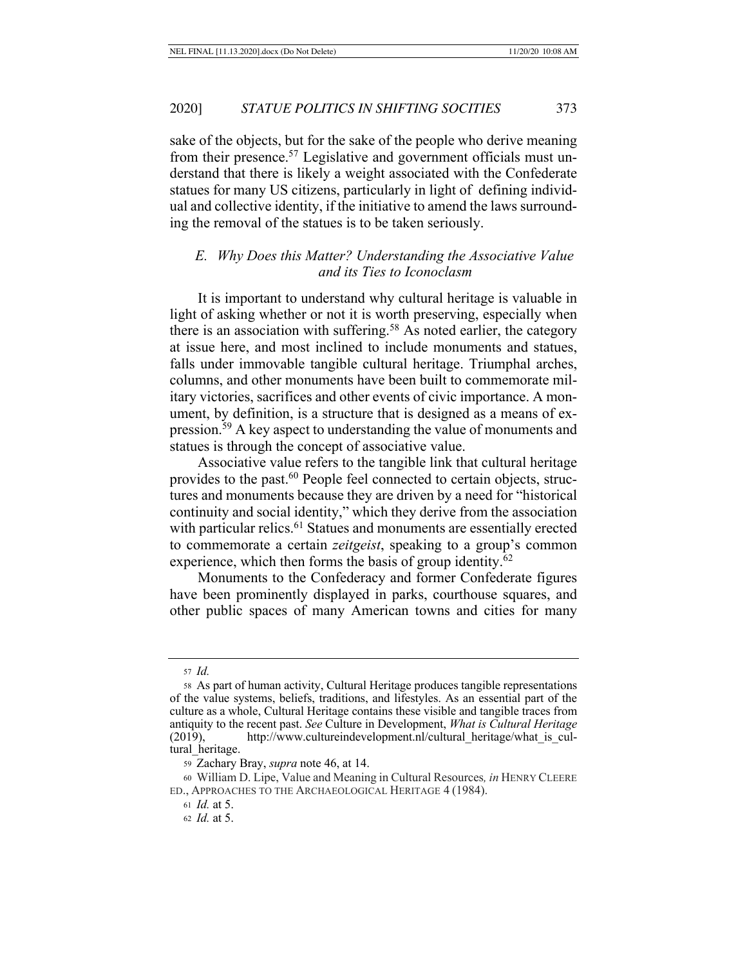sake of the objects, but for the sake of the people who derive meaning from their presence.<sup>57</sup> Legislative and government officials must understand that there is likely a weight associated with the Confederate statues for many US citizens, particularly in light of defining individual and collective identity, if the initiative to amend the laws surrounding the removal of the statues is to be taken seriously.

## *E. Why Does this Matter? Understanding the Associative Value and its Ties to Iconoclasm*

It is important to understand why cultural heritage is valuable in light of asking whether or not it is worth preserving, especially when there is an association with suffering.58 As noted earlier, the category at issue here, and most inclined to include monuments and statues, falls under immovable tangible cultural heritage. Triumphal arches, columns, and other monuments have been built to commemorate military victories, sacrifices and other events of civic importance. A monument, by definition, is a structure that is designed as a means of expression.59 A key aspect to understanding the value of monuments and statues is through the concept of associative value.

Associative value refers to the tangible link that cultural heritage provides to the past.<sup>60</sup> People feel connected to certain objects, structures and monuments because they are driven by a need for "historical continuity and social identity," which they derive from the association with particular relics.<sup>61</sup> Statues and monuments are essentially erected to commemorate a certain *zeitgeist*, speaking to a group's common experience, which then forms the basis of group identity. $62$ 

Monuments to the Confederacy and former Confederate figures have been prominently displayed in parks, courthouse squares, and other public spaces of many American towns and cities for many

<sup>57</sup> *Id.*

<sup>58</sup> As part of human activity, Cultural Heritage produces tangible representations of the value systems, beliefs, traditions, and lifestyles. As an essential part of the culture as a whole, Cultural Heritage contains these visible and tangible traces from antiquity to the recent past. *See* Culture in Development, *What is Cultural Heritage*  (2019), http://www.cultureindevelopment.nl/cultural\_heritage/what\_is\_cultural heritage.

<sup>59</sup> Zachary Bray, *supra* note 46, at 14.

<sup>60</sup> William D. Lipe, Value and Meaning in Cultural Resources*, in* HENRY CLEERE ED., APPROACHES TO THE ARCHAEOLOGICAL HERITAGE 4 (1984).

<sup>61</sup> *Id.* at 5.

<sup>62</sup> *Id.* at 5.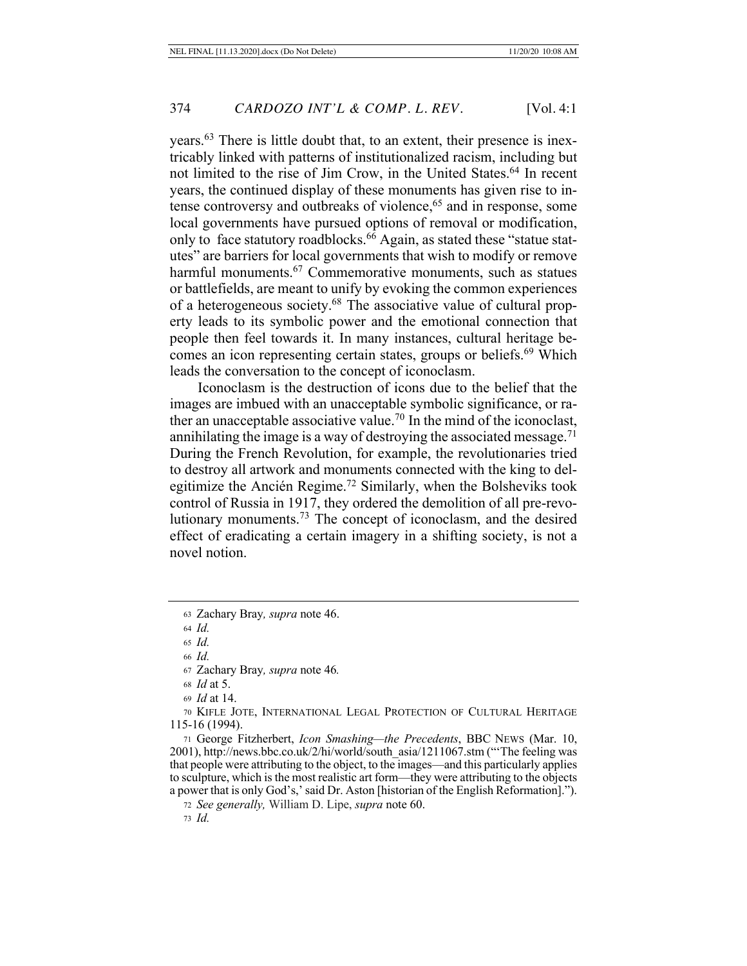years.63 There is little doubt that, to an extent, their presence is inextricably linked with patterns of institutionalized racism, including but not limited to the rise of Jim Crow, in the United States.64 In recent years, the continued display of these monuments has given rise to intense controversy and outbreaks of violence,<sup>65</sup> and in response, some local governments have pursued options of removal or modification, only to face statutory roadblocks.<sup>66</sup> Again, as stated these "statue statutes" are barriers for local governments that wish to modify or remove harmful monuments.<sup>67</sup> Commemorative monuments, such as statues or battlefields, are meant to unify by evoking the common experiences of a heterogeneous society.68 The associative value of cultural property leads to its symbolic power and the emotional connection that people then feel towards it. In many instances, cultural heritage becomes an icon representing certain states, groups or beliefs.<sup>69</sup> Which leads the conversation to the concept of iconoclasm.

Iconoclasm is the destruction of icons due to the belief that the images are imbued with an unacceptable symbolic significance, or rather an unacceptable associative value.<sup>70</sup> In the mind of the iconoclast, annihilating the image is a way of destroying the associated message.<sup>71</sup> During the French Revolution, for example, the revolutionaries tried to destroy all artwork and monuments connected with the king to delegitimize the Ancién Regime.72 Similarly, when the Bolsheviks took control of Russia in 1917, they ordered the demolition of all pre-revolutionary monuments.73 The concept of iconoclasm, and the desired effect of eradicating a certain imagery in a shifting society, is not a novel notion.

70 KIFLE JOTE, INTERNATIONAL LEGAL PROTECTION OF CULTURAL HERITAGE 115-16 (1994).

<sup>71</sup> George Fitzherbert, *Icon Smashing—the Precedents*, BBC NEWS (Mar. 10, 2001), http://news.bbc.co.uk/2/hi/world/south\_asia/1211067.stm ("'The feeling was that people were attributing to the object, to the images—and this particularly applies to sculpture, which is the most realistic art form—they were attributing to the objects a power that is only God's,' said Dr. Aston [historian of the English Reformation].").

<sup>72</sup> *See generally,* William D. Lipe, *supra* note 60.

<sup>63</sup> Zachary Bray*, supra* note 46.

<sup>64</sup> *Id.*

<sup>65</sup> *Id.*

<sup>66</sup> *Id.*

<sup>67</sup> Zachary Bray*, supra* note 46*.*

<sup>68</sup> *Id* at 5.

<sup>69</sup> *Id* at 14.

<sup>73</sup> *Id.*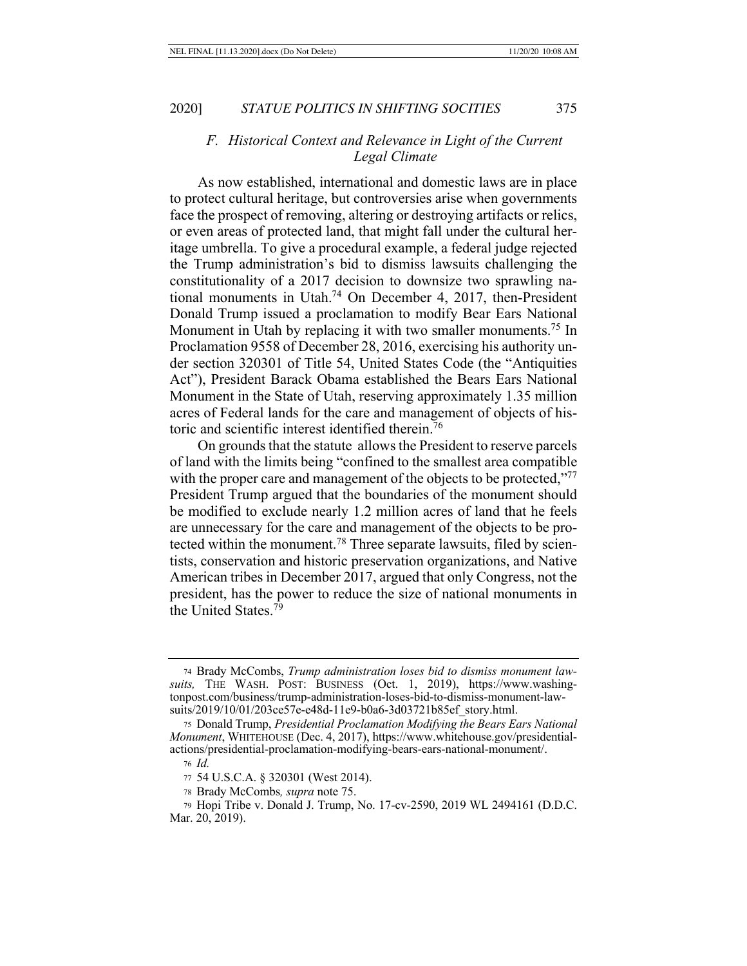## *F. Historical Context and Relevance in Light of the Current Legal Climate*

As now established, international and domestic laws are in place to protect cultural heritage, but controversies arise when governments face the prospect of removing, altering or destroying artifacts or relics, or even areas of protected land, that might fall under the cultural heritage umbrella. To give a procedural example, a federal judge rejected the Trump administration's bid to dismiss lawsuits challenging the constitutionality of a 2017 decision to downsize two sprawling national monuments in Utah.74 On December 4, 2017, then-President Donald Trump issued a proclamation to modify Bear Ears National Monument in Utah by replacing it with two smaller monuments.<sup>75</sup> In Proclamation 9558 of December 28, 2016, exercising his authority under section 320301 of Title 54, United States Code (the "Antiquities Act"), President Barack Obama established the Bears Ears National Monument in the State of Utah, reserving approximately 1.35 million acres of Federal lands for the care and management of objects of historic and scientific interest identified therein.76

On grounds that the statute allows the President to reserve parcels of land with the limits being "confined to the smallest area compatible with the proper care and management of the objects to be protected,"<sup>77</sup> President Trump argued that the boundaries of the monument should be modified to exclude nearly 1.2 million acres of land that he feels are unnecessary for the care and management of the objects to be protected within the monument.78 Three separate lawsuits, filed by scientists, conservation and historic preservation organizations, and Native American tribes in December 2017, argued that only Congress, not the president, has the power to reduce the size of national monuments in the United States<sup>79</sup>

<sup>74</sup> Brady McCombs, *Trump administration loses bid to dismiss monument lawsuits,* THE WASH. POST: BUSINESS (Oct. 1, 2019), https://www.washingtonpost.com/business/trump-administration-loses-bid-to-dismiss-monument-lawsuits/2019/10/01/203ce57e-e48d-11e9-b0a6-3d03721b85ef\_story.html.

<sup>75</sup> Donald Trump, *Presidential Proclamation Modifying the Bears Ears National Monument*, WHITEHOUSE (Dec. 4, 2017), https://www.whitehouse.gov/presidentialactions/presidential-proclamation-modifying-bears-ears-national-monument/.

<sup>76</sup> *Id.*

<sup>77</sup> 54 U.S.C.A. § 320301 (West 2014).

<sup>78</sup> Brady McCombs*, supra* note 75.

<sup>79</sup> Hopi Tribe v. Donald J. Trump, No. 17-cv-2590, 2019 WL 2494161 (D.D.C. Mar. 20, 2019).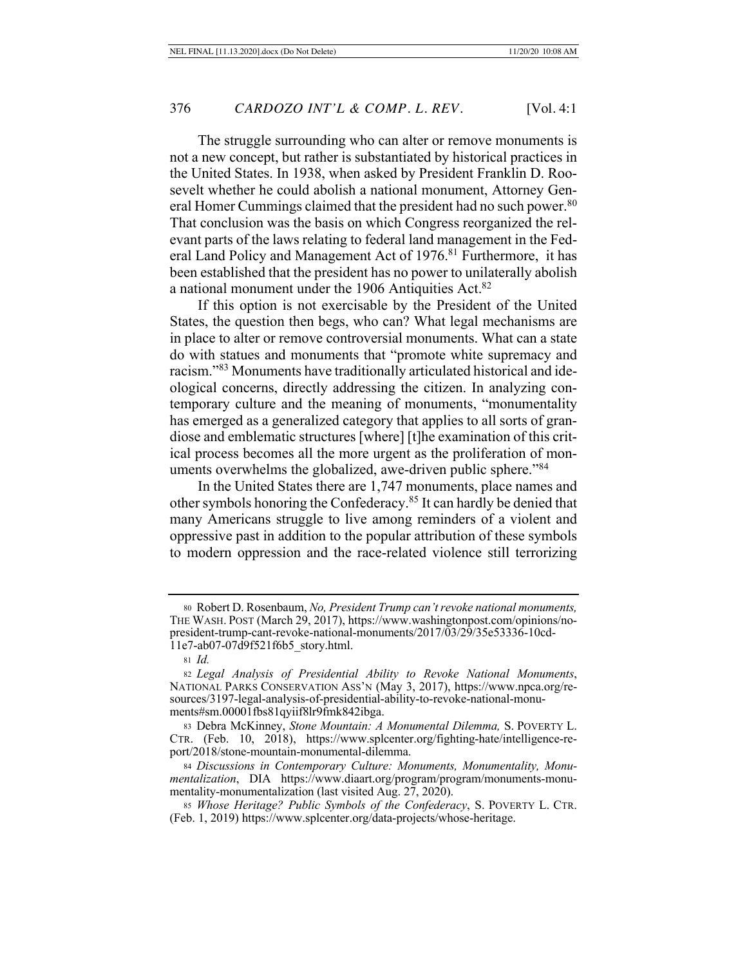The struggle surrounding who can alter or remove monuments is not a new concept, but rather is substantiated by historical practices in the United States. In 1938, when asked by President Franklin D. Roosevelt whether he could abolish a national monument, Attorney General Homer Cummings claimed that the president had no such power.<sup>80</sup> That conclusion was the basis on which Congress reorganized the relevant parts of the laws relating to federal land management in the Federal Land Policy and Management Act of 1976.<sup>81</sup> Furthermore, it has been established that the president has no power to unilaterally abolish a national monument under the 1906 Antiquities Act.<sup>82</sup>

If this option is not exercisable by the President of the United States, the question then begs, who can? What legal mechanisms are in place to alter or remove controversial monuments. What can a state do with statues and monuments that "promote white supremacy and racism."83 Monuments have traditionally articulated historical and ideological concerns, directly addressing the citizen. In analyzing contemporary culture and the meaning of monuments, "monumentality has emerged as a generalized category that applies to all sorts of grandiose and emblematic structures [where] [t]he examination of this critical process becomes all the more urgent as the proliferation of monuments overwhelms the globalized, awe-driven public sphere."<sup>84</sup>

In the United States there are 1,747 monuments, place names and other symbols honoring the Confederacy.85 It can hardly be denied that many Americans struggle to live among reminders of a violent and oppressive past in addition to the popular attribution of these symbols to modern oppression and the race-related violence still terrorizing

<sup>80</sup> Robert D. Rosenbaum, *No, President Trump can't revoke national monuments,*  THE WASH. POST (March 29, 2017), https://www.washingtonpost.com/opinions/nopresident-trump-cant-revoke-national-monuments/2017/03/29/35e53336-10cd-11e7-ab07-07d9f521f6b5\_story.html.

<sup>81</sup> *Id.*

<sup>82</sup> *Legal Analysis of Presidential Ability to Revoke National Monuments*, NATIONAL PARKS CONSERVATION ASS'N (May 3, 2017), https://www.npca.org/resources/3197-legal-analysis-of-presidential-ability-to-revoke-national-monuments#sm.00001fbs81qyiif8lr9fmk842ibga.

<sup>83</sup> Debra McKinney, *Stone Mountain: A Monumental Dilemma,* S. POVERTY L. CTR. (Feb. 10, 2018), https://www.splcenter.org/fighting-hate/intelligence-report/2018/stone-mountain-monumental-dilemma.

<sup>84</sup> *Discussions in Contemporary Culture: Monuments, Monumentality, Monumentalization*, DIA https://www.diaart.org/program/program/monuments-monumentality-monumentalization (last visited Aug. 27, 2020).

<sup>85</sup> *Whose Heritage? Public Symbols of the Confederacy*, S. POVERTY L. CTR. (Feb. 1, 2019) https://www.splcenter.org/data-projects/whose-heritage.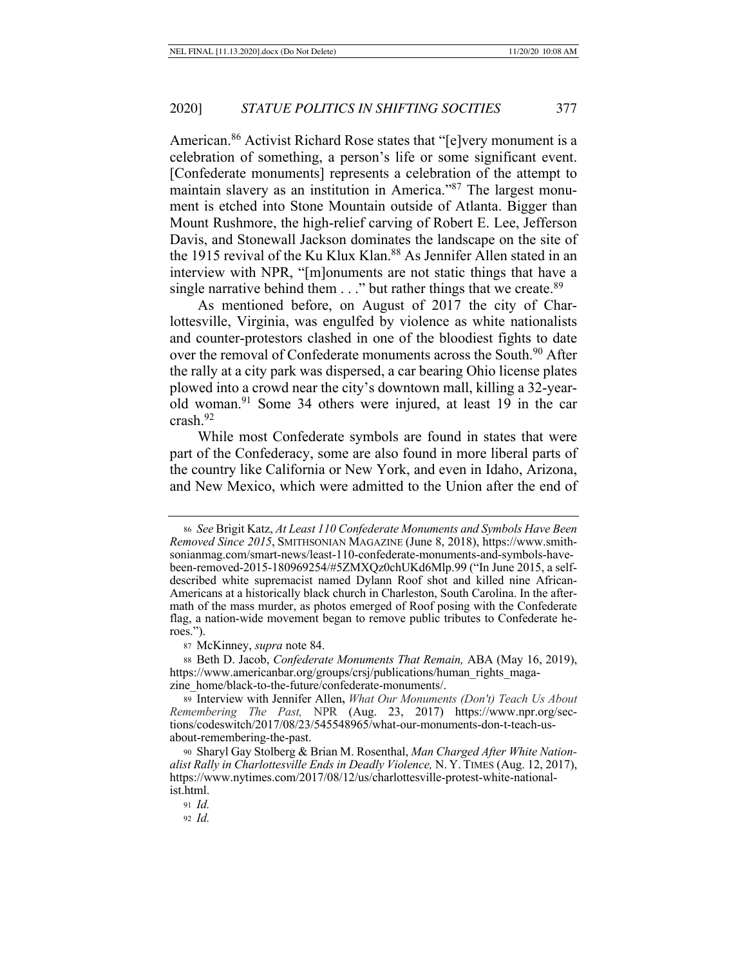American.86 Activist Richard Rose states that "[e]very monument is a celebration of something, a person's life or some significant event. [Confederate monuments] represents a celebration of the attempt to maintain slavery as an institution in America."87 The largest monument is etched into Stone Mountain outside of Atlanta. Bigger than Mount Rushmore, the high-relief carving of Robert E. Lee, Jefferson Davis, and Stonewall Jackson dominates the landscape on the site of the 1915 revival of the Ku Klux Klan.<sup>88</sup> As Jennifer Allen stated in an interview with NPR, "[m]onuments are not static things that have a single narrative behind them  $\ldots$ " but rather things that we create.<sup>89</sup>

As mentioned before, on August of 2017 the city of Charlottesville, Virginia, was engulfed by violence as white nationalists and counter-protestors clashed in one of the bloodiest fights to date over the removal of Confederate monuments across the South.<sup>90</sup> After the rally at a city park was dispersed, a car bearing Ohio license plates plowed into a crowd near the city's downtown mall, killing a 32-yearold woman.91 Some 34 others were injured, at least 19 in the car crash.92

While most Confederate symbols are found in states that were part of the Confederacy, some are also found in more liberal parts of the country like California or New York, and even in Idaho, Arizona, and New Mexico, which were admitted to the Union after the end of

<sup>87</sup> McKinney, *supra* note 84.

<sup>88</sup> Beth D. Jacob, *Confederate Monuments That Remain,* ABA (May 16, 2019), https://www.americanbar.org/groups/crsj/publications/human\_rights\_magazine\_home/black-to-the-future/confederate-monuments/.

<sup>89</sup> Interview with Jennifer Allen**,** *What Our Monuments (Don't) Teach Us About Remembering The Past,* NPR (Aug. 23, 2017) https://www.npr.org/sections/codeswitch/2017/08/23/545548965/what-our-monuments-don-t-teach-usabout-remembering-the-past.

<sup>90</sup> Sharyl Gay Stolberg & Brian M. Rosenthal, *Man Charged After White Nationalist Rally in Charlottesville Ends in Deadly Violence,* N. Y. TIMES (Aug. 12, 2017), https://www.nytimes.com/2017/08/12/us/charlottesville-protest-white-nationalist.html.

<sup>91</sup> *Id.*

<sup>92</sup> *Id.*

<sup>86</sup> *See* Brigit Katz, *At Least 110 Confederate Monuments and Symbols Have Been Removed Since 2015*, SMITHSONIAN MAGAZINE (June 8, 2018), https://www.smithsonianmag.com/smart-news/least-110-confederate-monuments-and-symbols-havebeen-removed-2015-180969254/#5ZMXQz0chUKd6Mlp.99 ("In June 2015, a selfdescribed white supremacist named Dylann Roof shot and killed nine African-Americans at a historically black church in Charleston, South Carolina. In the aftermath of the mass murder, as photos emerged of Roof posing with the Confederate flag, a nation-wide movement began to remove public tributes to Confederate heroes.").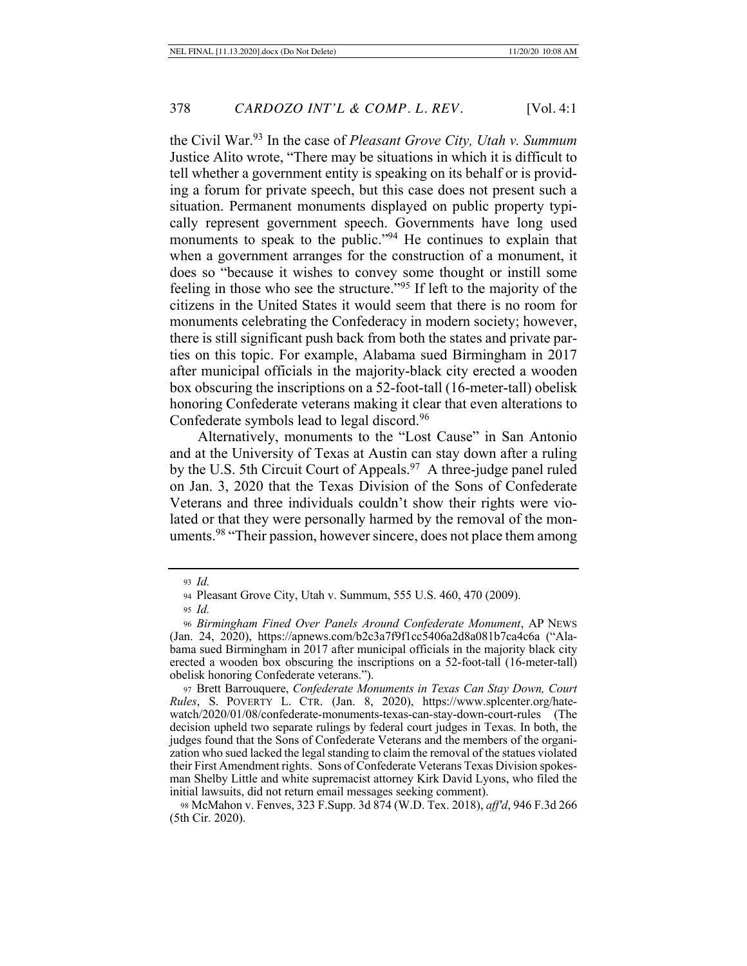the Civil War.93 In the case of *Pleasant Grove City, Utah v. Summum* Justice Alito wrote, "There may be situations in which it is difficult to tell whether a government entity is speaking on its behalf or is providing a forum for private speech, but this case does not present such a situation. Permanent monuments displayed on public property typically represent government speech. Governments have long used monuments to speak to the public."<sup>94</sup> He continues to explain that when a government arranges for the construction of a monument, it does so "because it wishes to convey some thought or instill some feeling in those who see the structure."95 If left to the majority of the citizens in the United States it would seem that there is no room for monuments celebrating the Confederacy in modern society; however, there is still significant push back from both the states and private parties on this topic. For example, Alabama sued Birmingham in 2017 after municipal officials in the majority-black city erected a wooden box obscuring the inscriptions on a 52-foot-tall (16-meter-tall) obelisk honoring Confederate veterans making it clear that even alterations to Confederate symbols lead to legal discord.96

Alternatively, monuments to the "Lost Cause" in San Antonio and at the University of Texas at Austin can stay down after a ruling by the U.S. 5th Circuit Court of Appeals.<sup>97</sup> A three-judge panel ruled on Jan. 3, 2020 that the Texas Division of the Sons of Confederate Veterans and three individuals couldn't show their rights were violated or that they were personally harmed by the removal of the monuments.<sup>98</sup> "Their passion, however sincere, does not place them among

<sup>98</sup> McMahon v. Fenves, 323 F.Supp. 3d 874 (W.D. Tex. 2018), *aff'd*, 946 F.3d 266 (5th Cir. 2020).

<sup>93</sup> *Id.*

<sup>94</sup> Pleasant Grove City, Utah v. Summum, 555 U.S. 460, 470 (2009).

<sup>95</sup> *Id.*

<sup>96</sup> *Birmingham Fined Over Panels Around Confederate Monument*, AP NEWS (Jan. 24, 2020), https://apnews.com/b2c3a7f9f1cc5406a2d8a081b7ca4c6a ("Alabama sued Birmingham in 2017 after municipal officials in the majority black city erected a wooden box obscuring the inscriptions on a 52-foot-tall (16-meter-tall) obelisk honoring Confederate veterans.").

<sup>97</sup> Brett Barrouquere, *Confederate Monuments in Texas Can Stay Down, Court Rules*, S. POVERTY L. CTR. (Jan. 8, 2020), https://www.splcenter.org/hatewatch/2020/01/08/confederate-monuments-texas-can-stay-down-court-rules (The decision upheld two separate rulings by federal court judges in Texas. In both, the judges found that the Sons of Confederate Veterans and the members of the organization who sued lacked the legal standing to claim the removal of the statues violated their First Amendment rights. Sons of Confederate Veterans Texas Division spokesman Shelby Little and white supremacist attorney Kirk David Lyons, who filed the initial lawsuits, did not return email messages seeking comment).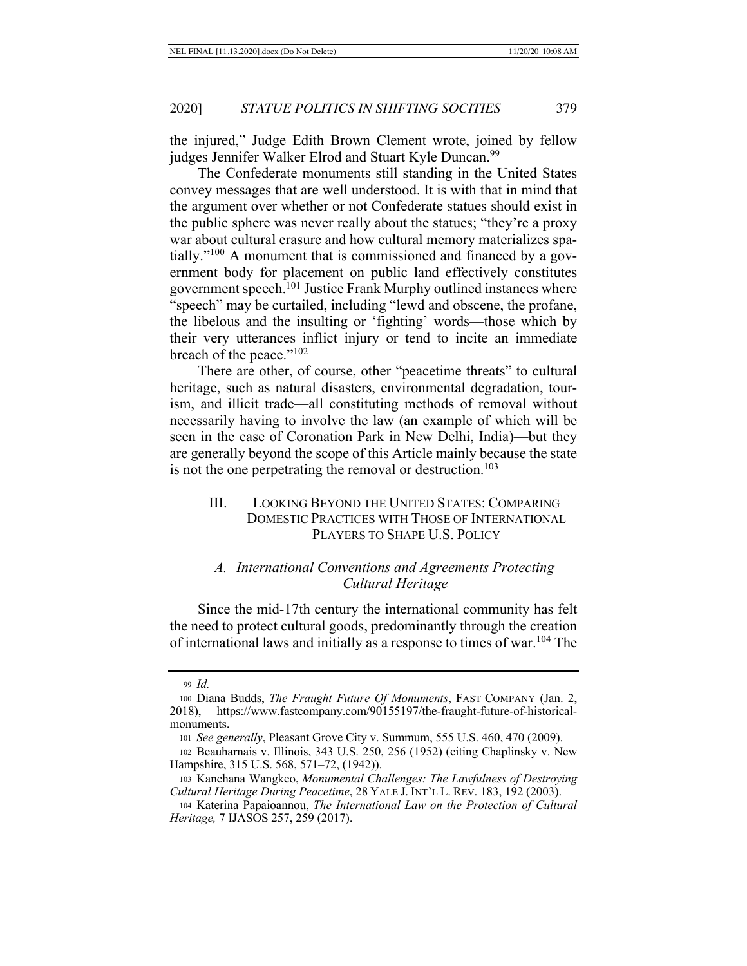the injured," Judge Edith Brown Clement wrote, joined by fellow judges Jennifer Walker Elrod and Stuart Kyle Duncan.<sup>99</sup>

The Confederate monuments still standing in the United States convey messages that are well understood. It is with that in mind that the argument over whether or not Confederate statues should exist in the public sphere was never really about the statues; "they're a proxy war about cultural erasure and how cultural memory materializes spatially."100 A monument that is commissioned and financed by a government body for placement on public land effectively constitutes government speech.101 Justice Frank Murphy outlined instances where "speech" may be curtailed, including "lewd and obscene, the profane, the libelous and the insulting or 'fighting' words—those which by their very utterances inflict injury or tend to incite an immediate breach of the peace."<sup>102</sup>

There are other, of course, other "peacetime threats" to cultural heritage, such as natural disasters, environmental degradation, tourism, and illicit trade—all constituting methods of removal without necessarily having to involve the law (an example of which will be seen in the case of Coronation Park in New Delhi, India)—but they are generally beyond the scope of this Article mainly because the state is not the one perpetrating the removal or destruction.<sup>103</sup>

## III. LOOKING BEYOND THE UNITED STATES: COMPARING DOMESTIC PRACTICES WITH THOSE OF INTERNATIONAL PLAYERS TO SHAPE U.S. POLICY

## *A. International Conventions and Agreements Protecting Cultural Heritage*

Since the mid-17th century the international community has felt the need to protect cultural goods, predominantly through the creation of international laws and initially as a response to times of war.104 The

<sup>99</sup> *Id.*

<sup>100</sup> Diana Budds, *The Fraught Future Of Monuments*, FAST COMPANY (Jan. 2, 2018), https://www.fastcompany.com/90155197/the-fraught-future-of-historicalmonuments.

<sup>101</sup> *See generally*, Pleasant Grove City v. Summum, 555 U.S. 460, 470 (2009).

<sup>102</sup> Beauharnais v. Illinois, 343 U.S. 250, 256 (1952) (citing Chaplinsky v. New Hampshire, 315 U.S. 568, 571–72, (1942)).

<sup>103</sup> Kanchana Wangkeo, *Monumental Challenges: The Lawfulness of Destroying Cultural Heritage During Peacetime*, 28 YALE J. INT'L L. REV. 183, 192 (2003).

<sup>104</sup> Katerina Papaioannou, *The International Law on the Protection of Cultural Heritage,* 7 IJASOS 257, 259 (2017).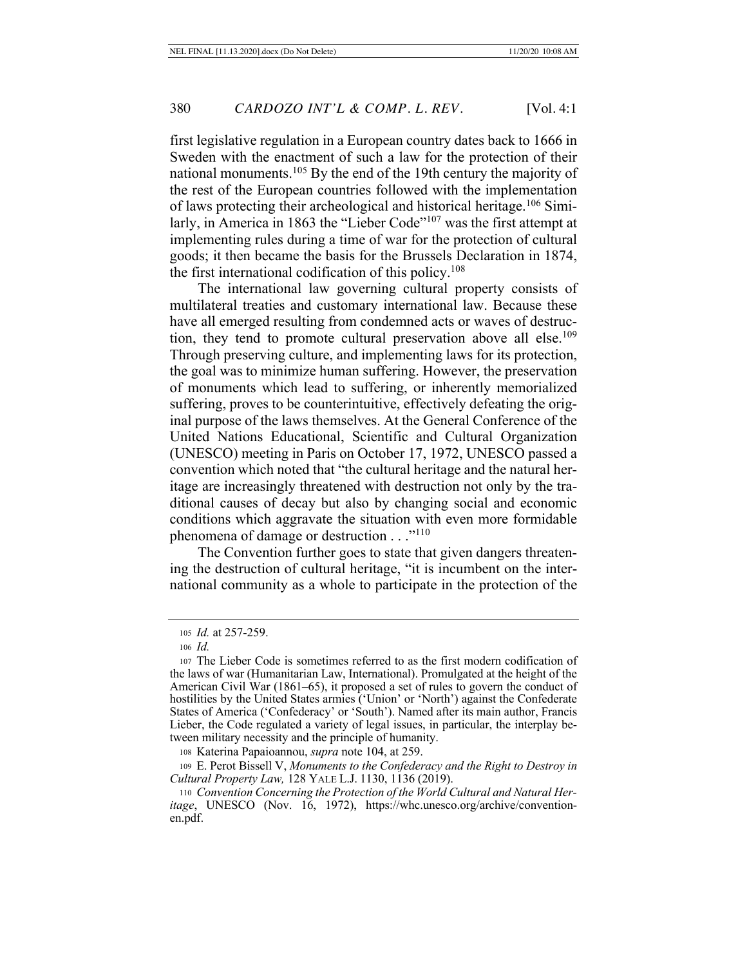first legislative regulation in a European country dates back to 1666 in Sweden with the enactment of such a law for the protection of their national monuments.105 By the end of the 19th century the majority of the rest of the European countries followed with the implementation of laws protecting their archeological and historical heritage.106 Similarly, in America in 1863 the "Lieber Code"<sup>107</sup> was the first attempt at implementing rules during a time of war for the protection of cultural goods; it then became the basis for the Brussels Declaration in 1874, the first international codification of this policy.108

The international law governing cultural property consists of multilateral treaties and customary international law. Because these have all emerged resulting from condemned acts or waves of destruction, they tend to promote cultural preservation above all else.<sup>109</sup> Through preserving culture, and implementing laws for its protection, the goal was to minimize human suffering. However, the preservation of monuments which lead to suffering, or inherently memorialized suffering, proves to be counterintuitive, effectively defeating the original purpose of the laws themselves. At the General Conference of the United Nations Educational, Scientific and Cultural Organization (UNESCO) meeting in Paris on October 17, 1972, UNESCO passed a convention which noted that "the cultural heritage and the natural heritage are increasingly threatened with destruction not only by the traditional causes of decay but also by changing social and economic conditions which aggravate the situation with even more formidable phenomena of damage or destruction . . ."<sup>110</sup>

The Convention further goes to state that given dangers threatening the destruction of cultural heritage, "it is incumbent on the international community as a whole to participate in the protection of the

<sup>108</sup> Katerina Papaioannou, *supra* note 104, at 259.

<sup>105</sup> *Id.* at 257-259.

<sup>106</sup> *Id.*

<sup>107</sup> The Lieber Code is sometimes referred to as the first modern codification of the laws of war (Humanitarian Law, International). Promulgated at the height of the American Civil War (1861–65), it proposed a set of rules to govern the conduct of hostilities by the United States armies ('Union' or 'North') against the Confederate States of America ('Confederacy' or 'South'). Named after its main author, Francis Lieber, the Code regulated a variety of legal issues, in particular, the interplay between military necessity and the principle of humanity.

<sup>109</sup> E. Perot Bissell V, *Monuments to the Confederacy and the Right to Destroy in Cultural Property Law,* 128 YALE L.J. 1130, 1136 (2019).

<sup>110</sup> *Convention Concerning the Protection of the World Cultural and Natural Heritage*, UNESCO (Nov. 16, 1972), https://whc.unesco.org/archive/conventionen.pdf.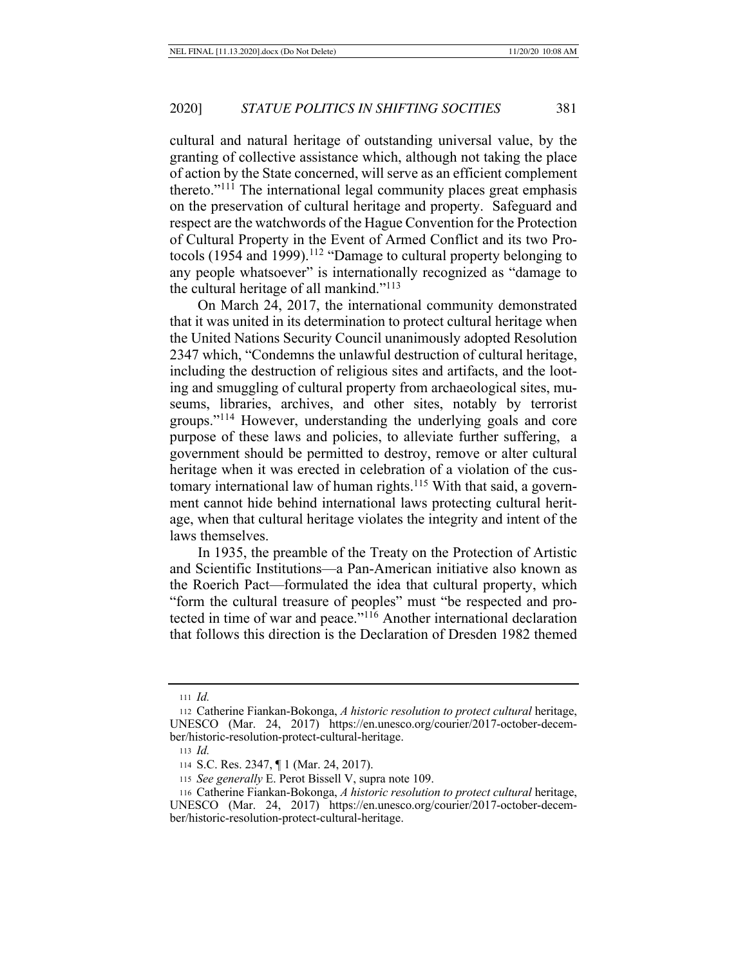cultural and natural heritage of outstanding universal value, by the granting of collective assistance which, although not taking the place of action by the State concerned, will serve as an efficient complement thereto."<sup>111</sup> The international legal community places great emphasis on the preservation of cultural heritage and property. Safeguard and respect are the watchwords of the Hague Convention for the Protection of Cultural Property in the Event of Armed Conflict and its two Protocols (1954 and 1999).<sup>112</sup> "Damage to cultural property belonging to any people whatsoever" is internationally recognized as "damage to the cultural heritage of all mankind."113

On March 24, 2017, the international community demonstrated that it was united in its determination to protect cultural heritage when the United Nations Security Council unanimously adopted Resolution 2347 which, "Condemns the unlawful destruction of cultural heritage, including the destruction of religious sites and artifacts, and the looting and smuggling of cultural property from archaeological sites, museums, libraries, archives, and other sites, notably by terrorist groups."114 However, understanding the underlying goals and core purpose of these laws and policies, to alleviate further suffering, a government should be permitted to destroy, remove or alter cultural heritage when it was erected in celebration of a violation of the customary international law of human rights.<sup>115</sup> With that said, a government cannot hide behind international laws protecting cultural heritage, when that cultural heritage violates the integrity and intent of the laws themselves.

In 1935, the preamble of the Treaty on the Protection of Artistic and Scientific Institutions—a Pan-American initiative also known as the Roerich Pact—formulated the idea that cultural property, which "form the cultural treasure of peoples" must "be respected and protected in time of war and peace."116 Another international declaration that follows this direction is the Declaration of Dresden 1982 themed

<sup>111</sup> *Id.*

<sup>112</sup> Catherine Fiankan-Bokonga, *A historic resolution to protect cultural* heritage, UNESCO (Mar. 24, 2017) https://en.unesco.org/courier/2017-october-december/historic-resolution-protect-cultural-heritage.

<sup>113</sup> *Id.*

<sup>114</sup> S.C. Res. 2347, ¶ 1 (Mar. 24, 2017).

<sup>115</sup> *See generally* E. Perot Bissell V, supra note 109.

<sup>116</sup> Catherine Fiankan-Bokonga, *A historic resolution to protect cultural* heritage, UNESCO (Mar. 24, 2017) https://en.unesco.org/courier/2017-october-december/historic-resolution-protect-cultural-heritage.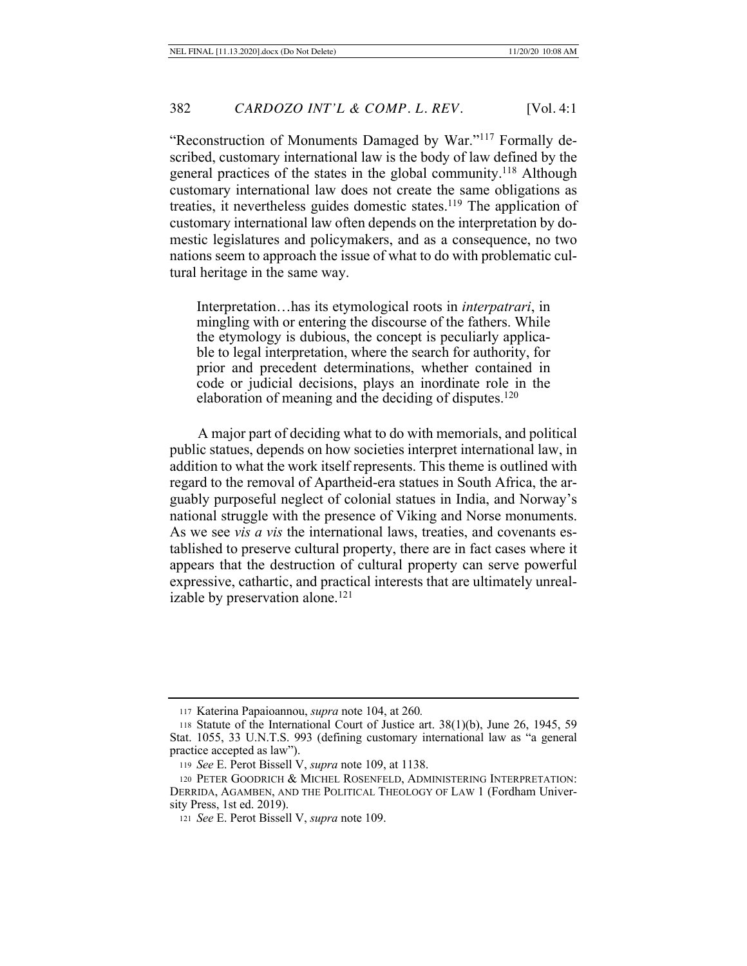"Reconstruction of Monuments Damaged by War."117 Formally described, customary international law is the body of law defined by the general practices of the states in the global community.118 Although customary international law does not create the same obligations as treaties, it nevertheless guides domestic states.119 The application of customary international law often depends on the interpretation by domestic legislatures and policymakers, and as a consequence, no two nations seem to approach the issue of what to do with problematic cultural heritage in the same way.

Interpretation…has its etymological roots in *interpatrari*, in mingling with or entering the discourse of the fathers. While the etymology is dubious, the concept is peculiarly applicable to legal interpretation, where the search for authority, for prior and precedent determinations, whether contained in code or judicial decisions, plays an inordinate role in the elaboration of meaning and the deciding of disputes.<sup>120</sup>

A major part of deciding what to do with memorials, and political public statues, depends on how societies interpret international law, in addition to what the work itself represents. This theme is outlined with regard to the removal of Apartheid-era statues in South Africa, the arguably purposeful neglect of colonial statues in India, and Norway's national struggle with the presence of Viking and Norse monuments. As we see *vis a vis* the international laws, treaties, and covenants established to preserve cultural property, there are in fact cases where it appears that the destruction of cultural property can serve powerful expressive, cathartic, and practical interests that are ultimately unrealizable by preservation alone.<sup>121</sup>

<sup>117</sup> Katerina Papaioannou, *supra* note 104, at 260*.*

<sup>118</sup> Statute of the International Court of Justice art. 38(1)(b), June 26, 1945, 59 Stat. 1055, 33 U.N.T.S. 993 (defining customary international law as "a general practice accepted as law").

<sup>119</sup> *See* E. Perot Bissell V, *supra* note 109, at 1138.

<sup>120</sup> PETER GOODRICH & MICHEL ROSENFELD, ADMINISTERING INTERPRETATION: DERRIDA, AGAMBEN, AND THE POLITICAL THEOLOGY OF LAW 1 (Fordham University Press, 1st ed. 2019).

<sup>121</sup> *See* E. Perot Bissell V, *supra* note 109.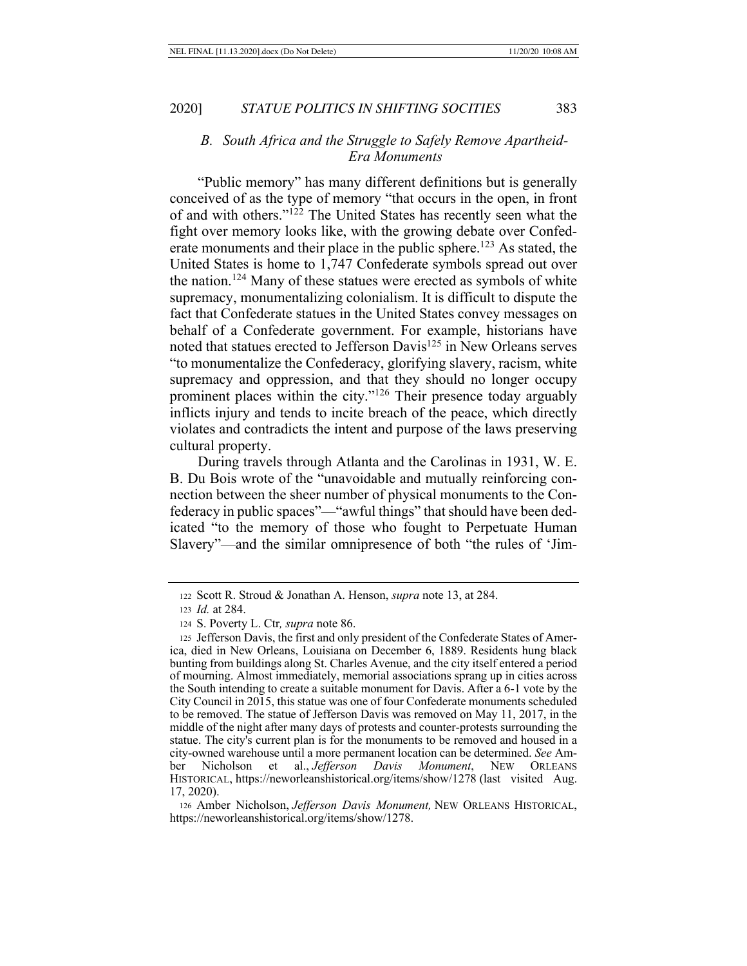## *B. South Africa and the Struggle to Safely Remove Apartheid-Era Monuments*

"Public memory" has many different definitions but is generally conceived of as the type of memory "that occurs in the open, in front of and with others."122 The United States has recently seen what the fight over memory looks like, with the growing debate over Confederate monuments and their place in the public sphere.<sup>123</sup> As stated, the United States is home to 1,747 Confederate symbols spread out over the nation.<sup>124</sup> Many of these statues were erected as symbols of white supremacy, monumentalizing colonialism. It is difficult to dispute the fact that Confederate statues in the United States convey messages on behalf of a Confederate government. For example, historians have noted that statues erected to Jefferson Davis<sup>125</sup> in New Orleans serves "to monumentalize the Confederacy, glorifying slavery, racism, white supremacy and oppression, and that they should no longer occupy prominent places within the city."126 Their presence today arguably inflicts injury and tends to incite breach of the peace, which directly violates and contradicts the intent and purpose of the laws preserving cultural property.

During travels through Atlanta and the Carolinas in 1931, W. E. B. Du Bois wrote of the "unavoidable and mutually reinforcing connection between the sheer number of physical monuments to the Confederacy in public spaces"—"awful things" that should have been dedicated "to the memory of those who fought to Perpetuate Human Slavery"—and the similar omnipresence of both "the rules of 'Jim-

<sup>126</sup> Amber Nicholson, *Jefferson Davis Monument,* NEW ORLEANS HISTORICAL, https://neworleanshistorical.org/items/show/1278.

<sup>122</sup> Scott R. Stroud & Jonathan A. Henson, *supra* note 13, at 284.

<sup>123</sup> *Id.* at 284.

<sup>124</sup> S. Poverty L. Ctr*, supra* note 86.

<sup>125</sup> Jefferson Davis, the first and only president of the Confederate States of America, died in New Orleans, Louisiana on December 6, 1889. Residents hung black bunting from buildings along St. Charles Avenue, and the city itself entered a period of mourning. Almost immediately, memorial associations sprang up in cities across the South intending to create a suitable monument for Davis. After a 6-1 vote by the City Council in 2015, this statue was one of four Confederate monuments scheduled to be removed. The statue of Jefferson Davis was removed on May 11, 2017, in the middle of the night after many days of protests and counter-protests surrounding the statue. The city's current plan is for the monuments to be removed and housed in a city-owned warehouse until a more permanent location can be determined. *See* Amber Nicholson et al., *Jefferson Davis Monument*, NEW ORLEANS HISTORICAL, https://neworleanshistorical.org/items/show/1278 (last visited Aug. 17, 2020).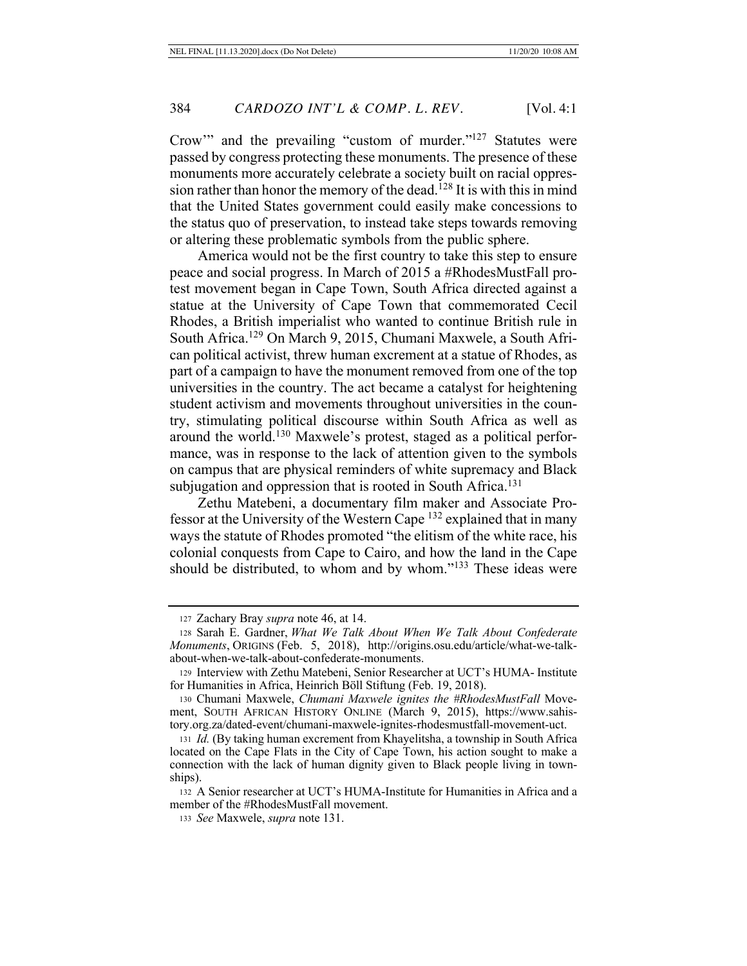Crow'" and the prevailing "custom of murder."127 Statutes were passed by congress protecting these monuments. The presence of these monuments more accurately celebrate a society built on racial oppression rather than honor the memory of the dead.<sup>128</sup> It is with this in mind that the United States government could easily make concessions to the status quo of preservation, to instead take steps towards removing or altering these problematic symbols from the public sphere.

America would not be the first country to take this step to ensure peace and social progress. In March of 2015 a #RhodesMustFall protest movement began in Cape Town, South Africa directed against a statue at the University of Cape Town that commemorated Cecil Rhodes, a British imperialist who wanted to continue British rule in South Africa.129 On March 9, 2015, Chumani Maxwele, a South African political activist, threw human excrement at a statue of Rhodes, as part of a campaign to have the monument removed from one of the top universities in the country. The act became a catalyst for heightening student activism and movements throughout universities in the country, stimulating political discourse within South Africa as well as around the world.130 Maxwele's protest, staged as a political performance, was in response to the lack of attention given to the symbols on campus that are physical reminders of white supremacy and Black subjugation and oppression that is rooted in South Africa.<sup>131</sup>

Zethu Matebeni, a documentary film maker and Associate Professor at the University of the Western Cape 132 explained that in many ways the statute of Rhodes promoted "the elitism of the white race, his colonial conquests from Cape to Cairo, and how the land in the Cape should be distributed, to whom and by whom."133 These ideas were

<sup>127</sup> Zachary Bray *supra* note 46, at 14.

<sup>128</sup> Sarah E. Gardner, *What We Talk About When We Talk About Confederate Monuments*, ORIGINS (Feb. 5, 2018), http://origins.osu.edu/article/what-we-talkabout-when-we-talk-about-confederate-monuments.

<sup>129</sup> Interview with Zethu Matebeni, Senior Researcher at UCT's HUMA- Institute for Humanities in Africa, Heinrich Böll Stiftung (Feb. 19, 2018).

<sup>130</sup> Chumani Maxwele, *Chumani Maxwele ignites the #RhodesMustFall* Movement, SOUTH AFRICAN HISTORY ONLINE (March 9, 2015), https://www.sahistory.org.za/dated-event/chumani-maxwele-ignites-rhodesmustfall-movement-uct.

<sup>131</sup> *Id.* (By taking human excrement from Khayelitsha, a township in South Africa located on the Cape Flats in the City of Cape Town, his action sought to make a connection with the lack of human dignity given to Black people living in townships).

<sup>132</sup> A Senior researcher at UCT's HUMA-Institute for Humanities in Africa and a member of the #RhodesMustFall movement.

<sup>133</sup> *See* Maxwele, *supra* note 131.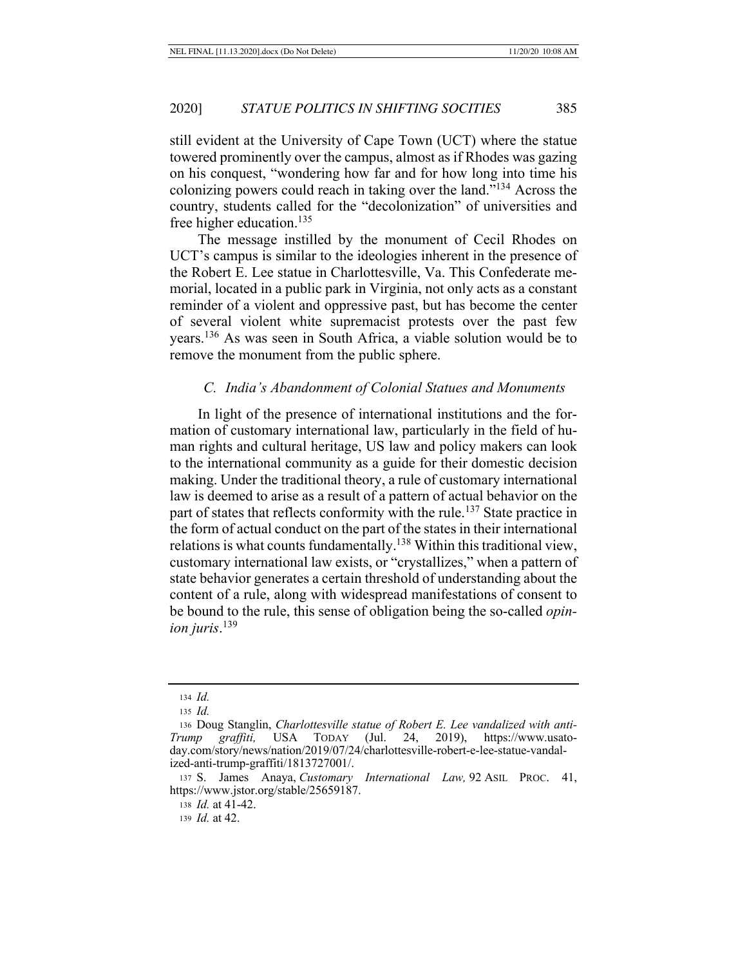still evident at the University of Cape Town (UCT) where the statue towered prominently over the campus, almost as if Rhodes was gazing on his conquest, "wondering how far and for how long into time his colonizing powers could reach in taking over the land."134 Across the country, students called for the "decolonization" of universities and free higher education.135

The message instilled by the monument of Cecil Rhodes on UCT's campus is similar to the ideologies inherent in the presence of the Robert E. Lee statue in Charlottesville, Va. This Confederate memorial, located in a public park in Virginia, not only acts as a constant reminder of a violent and oppressive past, but has become the center of several violent white supremacist protests over the past few years.136 As was seen in South Africa, a viable solution would be to remove the monument from the public sphere.

### *C. India's Abandonment of Colonial Statues and Monuments*

In light of the presence of international institutions and the formation of customary international law, particularly in the field of human rights and cultural heritage, US law and policy makers can look to the international community as a guide for their domestic decision making. Under the traditional theory, a rule of customary international law is deemed to arise as a result of a pattern of actual behavior on the part of states that reflects conformity with the rule.<sup>137</sup> State practice in the form of actual conduct on the part of the states in their international relations is what counts fundamentally.<sup>138</sup> Within this traditional view, customary international law exists, or "crystallizes," when a pattern of state behavior generates a certain threshold of understanding about the content of a rule, along with widespread manifestations of consent to be bound to the rule, this sense of obligation being the so-called *opinion juris*. 139

<sup>138</sup> *Id.* at 41-42.

<sup>139</sup> *Id.* at 42.

<sup>134</sup> *Id.*

<sup>135</sup> *Id.*

<sup>136</sup> Doug Stanglin, *Charlottesville statue of Robert E. Lee vandalized with anti-Trump graffiti,* USA TODAY (Jul. 24, 2019), https://www.usatoday.com/story/news/nation/2019/07/24/charlottesville-robert-e-lee-statue-vandalized-anti-trump-graffiti/1813727001/.

<sup>137</sup> S. James Anaya, *Customary International Law,* 92 ASIL PROC. 41, https://www.jstor.org/stable/25659187.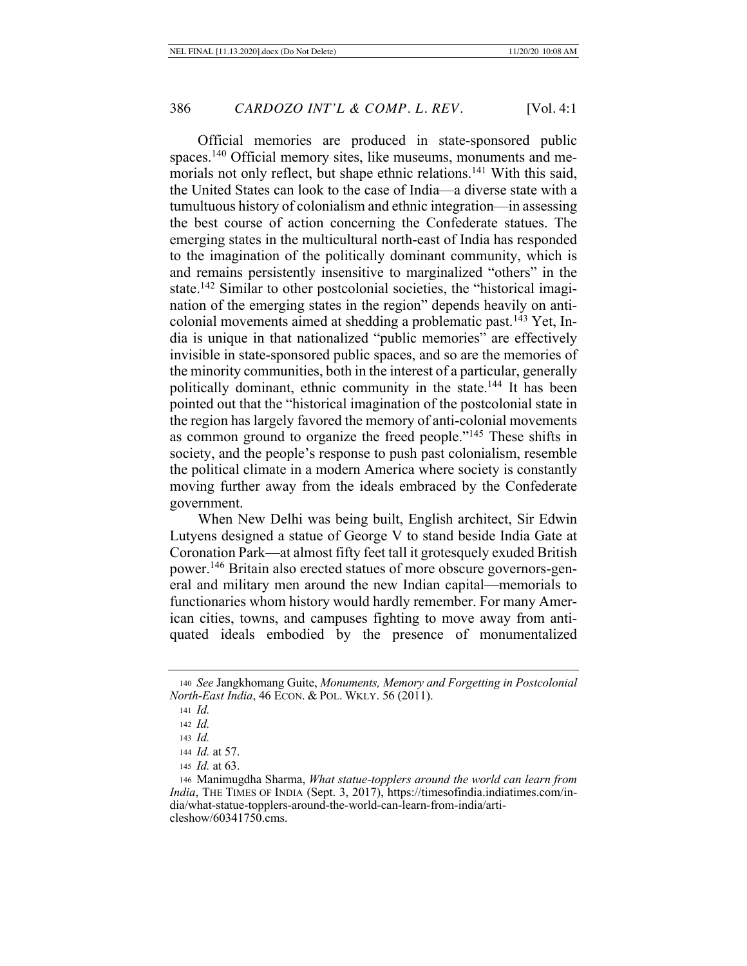Official memories are produced in state-sponsored public spaces.140 Official memory sites, like museums, monuments and memorials not only reflect, but shape ethnic relations.<sup>141</sup> With this said, the United States can look to the case of India—a diverse state with a tumultuous history of colonialism and ethnic integration—in assessing the best course of action concerning the Confederate statues. The emerging states in the multicultural north-east of India has responded to the imagination of the politically dominant community, which is and remains persistently insensitive to marginalized "others" in the state.142 Similar to other postcolonial societies, the "historical imagination of the emerging states in the region" depends heavily on anticolonial movements aimed at shedding a problematic past.<sup>143</sup> Yet, India is unique in that nationalized "public memories" are effectively invisible in state-sponsored public spaces, and so are the memories of the minority communities, both in the interest of a particular, generally politically dominant, ethnic community in the state.144 It has been pointed out that the "historical imagination of the postcolonial state in the region has largely favored the memory of anti-colonial movements as common ground to organize the freed people."145 These shifts in society, and the people's response to push past colonialism, resemble the political climate in a modern America where society is constantly moving further away from the ideals embraced by the Confederate government.

When New Delhi was being built, English architect, Sir Edwin Lutyens designed a statue of George V to stand beside India Gate at Coronation Park—at almost fifty feet tall it grotesquely exuded British power.146 Britain also erected statues of more obscure governors-general and military men around the new Indian capital—memorials to functionaries whom history would hardly remember. For many American cities, towns, and campuses fighting to move away from antiquated ideals embodied by the presence of monumentalized

<sup>140</sup> *See* Jangkhomang Guite, *Monuments, Memory and Forgetting in Postcolonial North-East India*, 46 ECON. & POL. WKLY. 56 (2011).

<sup>141</sup> *Id.*

<sup>142</sup> *Id.*

<sup>143</sup> *Id.*

<sup>144</sup> *Id.* at 57.

<sup>145</sup> *Id.* at 63.

<sup>146</sup> Manimugdha Sharma, *What statue-topplers around the world can learn from India*, THE TIMES OF INDIA (Sept. 3, 2017), https://timesofindia.indiatimes.com/india/what-statue-topplers-around-the-world-can-learn-from-india/articleshow/60341750.cms.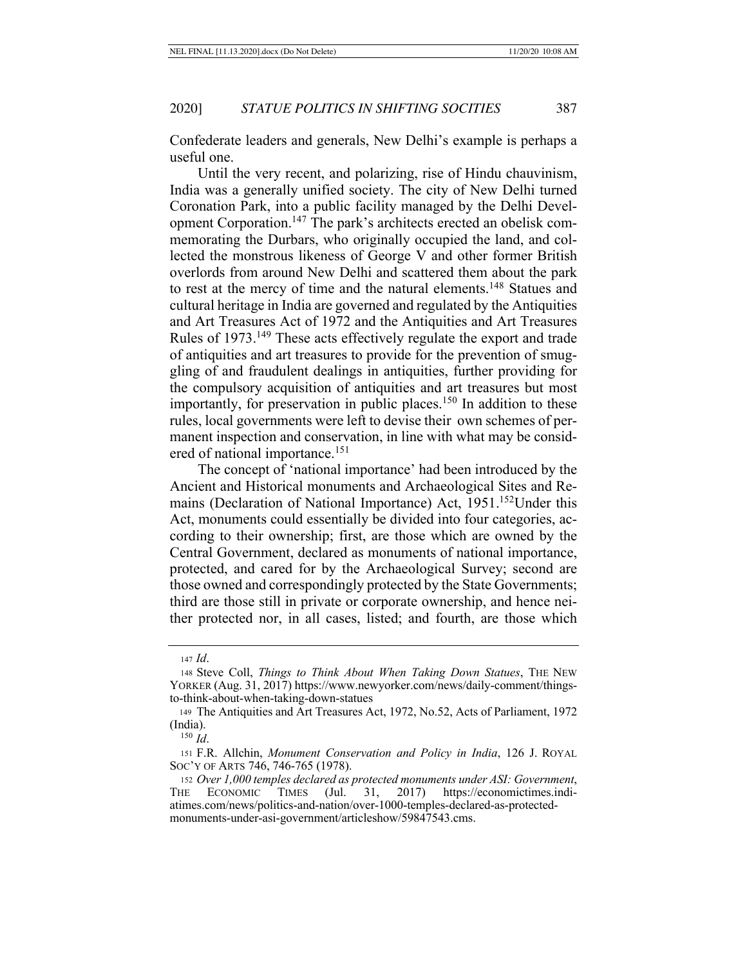Confederate leaders and generals, New Delhi's example is perhaps a useful one.

Until the very recent, and polarizing, rise of Hindu chauvinism, India was a generally unified society. The city of New Delhi turned Coronation Park, into a public facility managed by the Delhi Development Corporation.147 The park's architects erected an obelisk commemorating the Durbars, who originally occupied the land, and collected the monstrous likeness of George V and other former British overlords from around New Delhi and scattered them about the park to rest at the mercy of time and the natural elements.<sup>148</sup> Statues and cultural heritage in India are governed and regulated by the Antiquities and Art Treasures Act of 1972 and the Antiquities and Art Treasures Rules of 1973.149 These acts effectively regulate the export and trade of antiquities and art treasures to provide for the prevention of smuggling of and fraudulent dealings in antiquities, further providing for the compulsory acquisition of antiquities and art treasures but most importantly, for preservation in public places.<sup>150</sup> In addition to these rules, local governments were left to devise their own schemes of permanent inspection and conservation, in line with what may be considered of national importance.151

The concept of 'national importance' had been introduced by the Ancient and Historical monuments and Archaeological Sites and Remains (Declaration of National Importance) Act, 1951.152Under this Act, monuments could essentially be divided into four categories, according to their ownership; first, are those which are owned by the Central Government, declared as monuments of national importance, protected, and cared for by the Archaeological Survey; second are those owned and correspondingly protected by the State Governments; third are those still in private or corporate ownership, and hence neither protected nor, in all cases, listed; and fourth, are those which

<sup>147</sup> *Id*.

<sup>148</sup> Steve Coll, *Things to Think About When Taking Down Statues*, THE NEW YORKER (Aug. 31, 2017) https://www.newyorker.com/news/daily-comment/thingsto-think-about-when-taking-down-statues

<sup>149</sup> The Antiquities and Art Treasures Act, 1972, No.52, Acts of Parliament, 1972 (India).

<sup>150</sup> *Id*.

<sup>151</sup> F.R. Allchin, *Monument Conservation and Policy in India*, 126 J. ROYAL SOC'Y OF ARTS 746, 746-765 (1978).

<sup>152</sup> *Over 1,000 temples declared as protected monuments under ASI: Government*, THE ECONOMIC TIMES (Jul. 31, 2017) https://economictimes.indiatimes.com/news/politics-and-nation/over-1000-temples-declared-as-protectedmonuments-under-asi-government/articleshow/59847543.cms.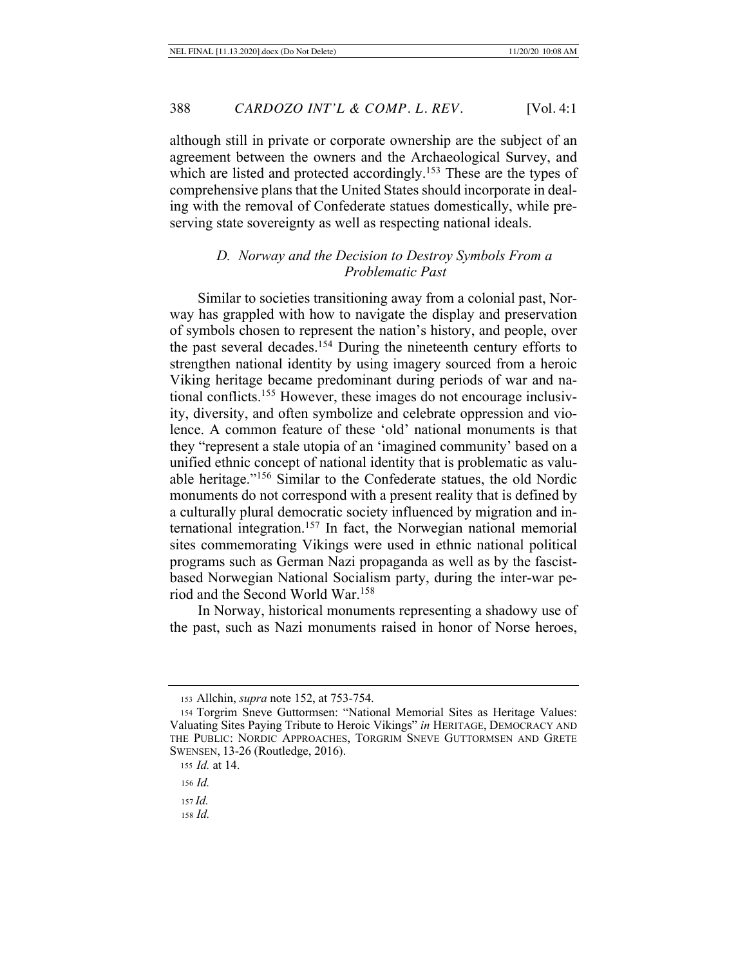although still in private or corporate ownership are the subject of an agreement between the owners and the Archaeological Survey, and which are listed and protected accordingly.<sup>153</sup> These are the types of comprehensive plans that the United States should incorporate in dealing with the removal of Confederate statues domestically, while preserving state sovereignty as well as respecting national ideals.

## *D. Norway and the Decision to Destroy Symbols From a Problematic Past*

Similar to societies transitioning away from a colonial past, Norway has grappled with how to navigate the display and preservation of symbols chosen to represent the nation's history, and people, over the past several decades.<sup>154</sup> During the nineteenth century efforts to strengthen national identity by using imagery sourced from a heroic Viking heritage became predominant during periods of war and national conflicts.155 However, these images do not encourage inclusivity, diversity, and often symbolize and celebrate oppression and violence. A common feature of these 'old' national monuments is that they "represent a stale utopia of an 'imagined community' based on a unified ethnic concept of national identity that is problematic as valuable heritage."156 Similar to the Confederate statues, the old Nordic monuments do not correspond with a present reality that is defined by a culturally plural democratic society influenced by migration and international integration.157 In fact, the Norwegian national memorial sites commemorating Vikings were used in ethnic national political programs such as German Nazi propaganda as well as by the fascistbased Norwegian National Socialism party, during the inter-war period and the Second World War.158

In Norway, historical monuments representing a shadowy use of the past, such as Nazi monuments raised in honor of Norse heroes,

<sup>157</sup> *Id.*

<sup>158</sup> *Id.*

<sup>153</sup> Allchin, *supra* note 152, at 753-754.

<sup>154</sup> Torgrim Sneve Guttormsen: "National Memorial Sites as Heritage Values: Valuating Sites Paying Tribute to Heroic Vikings" *in* HERITAGE, DEMOCRACY AND THE PUBLIC: NORDIC APPROACHES, TORGRIM SNEVE GUTTORMSEN AND GRETE SWENSEN, 13-26 (Routledge, 2016).

<sup>155</sup> *Id.* at 14.

<sup>156</sup> *Id.*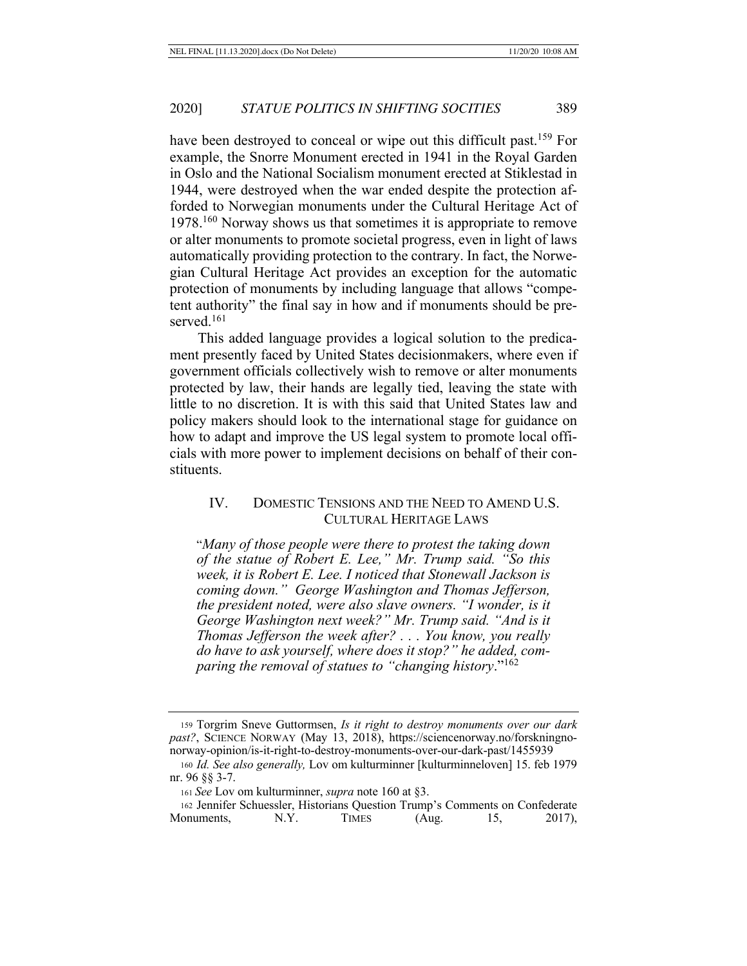have been destroyed to conceal or wipe out this difficult past.159 For example, the Snorre Monument erected in 1941 in the Royal Garden in Oslo and the National Socialism monument erected at Stiklestad in 1944, were destroyed when the war ended despite the protection afforded to Norwegian monuments under the Cultural Heritage Act of 1978.<sup>160</sup> Norway shows us that sometimes it is appropriate to remove or alter monuments to promote societal progress, even in light of laws automatically providing protection to the contrary. In fact, the Norwegian Cultural Heritage Act provides an exception for the automatic protection of monuments by including language that allows "competent authority" the final say in how and if monuments should be preserved.<sup>161</sup>

This added language provides a logical solution to the predicament presently faced by United States decisionmakers, where even if government officials collectively wish to remove or alter monuments protected by law, their hands are legally tied, leaving the state with little to no discretion. It is with this said that United States law and policy makers should look to the international stage for guidance on how to adapt and improve the US legal system to promote local officials with more power to implement decisions on behalf of their constituents.

## IV. DOMESTIC TENSIONS AND THE NEED TO AMEND U.S. CULTURAL HERITAGE LAWS

"*Many of those people were there to protest the taking down of the statue of Robert E. Lee," Mr. Trump said. "So this week, it is Robert E. Lee. I noticed that Stonewall Jackson is coming down." George Washington and Thomas Jefferson, the president noted, were also slave owners. "I wonder, is it George Washington next week?" Mr. Trump said. "And is it Thomas Jefferson the week after? . . . You know, you really do have to ask yourself, where does it stop?" he added, comparing the removal of statues to "changing history*."162

<sup>159</sup> Torgrim Sneve Guttormsen, *Is it right to destroy monuments over our dark past?*, SCIENCE NORWAY (May 13, 2018), https://sciencenorway.no/forskningnonorway-opinion/is-it-right-to-destroy-monuments-over-our-dark-past/1455939

<sup>160</sup> *Id. See also generally,* Lov om kulturminner [kulturminneloven] 15. feb 1979 nr. 96 §§ 3-7.

<sup>161</sup> *See* Lov om kulturminner, *supra* note 160 at §3.

<sup>162</sup> Jennifer Schuessler, Historians Question Trump's Comments on Confederate Monuments, N.Y. TIMES (Aug. 15, 2017),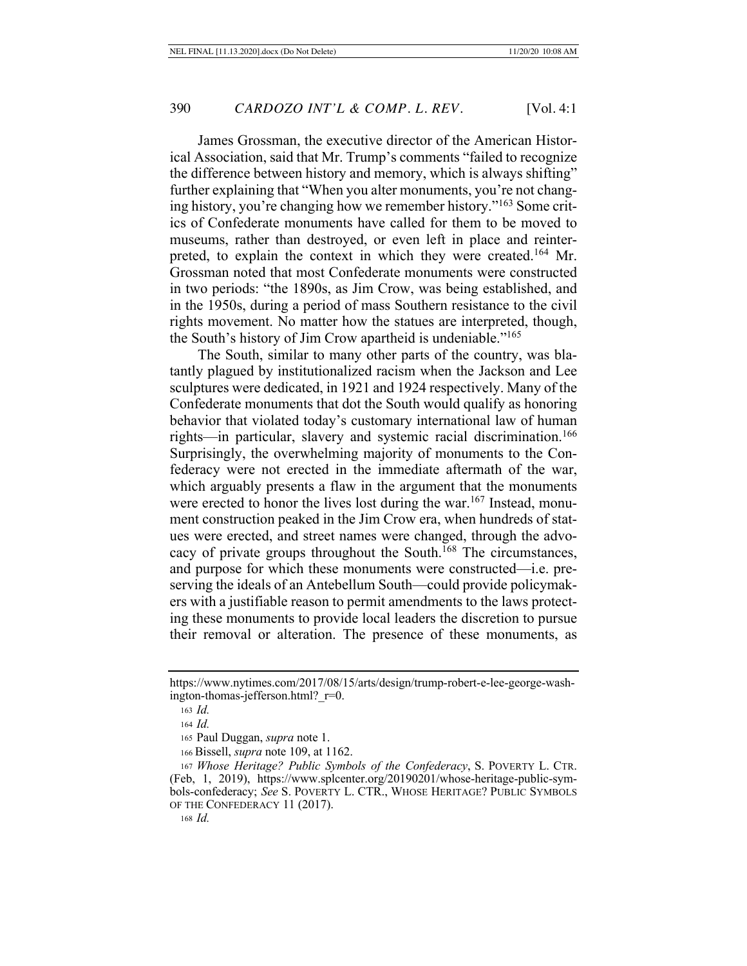James Grossman, the executive director of the American Historical Association, said that Mr. Trump's comments "failed to recognize the difference between history and memory, which is always shifting" further explaining that "When you alter monuments, you're not changing history, you're changing how we remember history."163 Some critics of Confederate monuments have called for them to be moved to museums, rather than destroyed, or even left in place and reinterpreted, to explain the context in which they were created.164 Mr. Grossman noted that most Confederate monuments were constructed in two periods: "the 1890s, as Jim Crow, was being established, and in the 1950s, during a period of mass Southern resistance to the civil rights movement. No matter how the statues are interpreted, though, the South's history of Jim Crow apartheid is undeniable."165

The South, similar to many other parts of the country, was blatantly plagued by institutionalized racism when the Jackson and Lee sculptures were dedicated, in 1921 and 1924 respectively. Many of the Confederate monuments that dot the South would qualify as honoring behavior that violated today's customary international law of human rights—in particular, slavery and systemic racial discrimination.<sup>166</sup> Surprisingly, the overwhelming majority of monuments to the Confederacy were not erected in the immediate aftermath of the war, which arguably presents a flaw in the argument that the monuments were erected to honor the lives lost during the war.<sup>167</sup> Instead, monument construction peaked in the Jim Crow era, when hundreds of statues were erected, and street names were changed, through the advocacy of private groups throughout the South.168 The circumstances, and purpose for which these monuments were constructed—i.e. preserving the ideals of an Antebellum South—could provide policymakers with a justifiable reason to permit amendments to the laws protecting these monuments to provide local leaders the discretion to pursue their removal or alteration. The presence of these monuments, as

https://www.nytimes.com/2017/08/15/arts/design/trump-robert-e-lee-george-washington-thomas-jefferson.html? r=0.

<sup>163</sup> *Id.*

<sup>164</sup> *Id.*

<sup>165</sup> Paul Duggan, *supra* note 1.

<sup>166</sup> Bissell, *supra* note 109, at 1162.

<sup>167</sup> *Whose Heritage? Public Symbols of the Confederacy*, S. POVERTY L. CTR. (Feb, 1, 2019), https://www.splcenter.org/20190201/whose-heritage-public-symbols-confederacy; *See* S. POVERTY L. CTR., WHOSE HERITAGE? PUBLIC SYMBOLS OF THE CONFEDERACY 11 (2017).

<sup>168</sup> *Id.*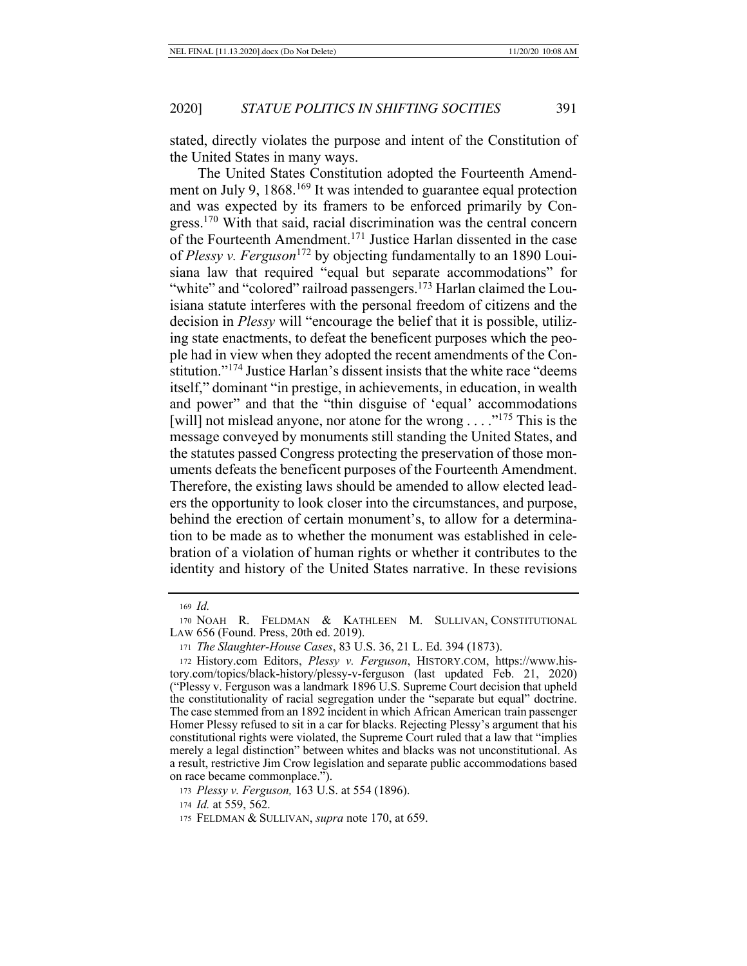stated, directly violates the purpose and intent of the Constitution of the United States in many ways.

The United States Constitution adopted the Fourteenth Amendment on July 9, 1868.<sup>169</sup> It was intended to guarantee equal protection and was expected by its framers to be enforced primarily by Congress.170 With that said, racial discrimination was the central concern of the Fourteenth Amendment.171 Justice Harlan dissented in the case of *Plessy v. Ferguson*172 by objecting fundamentally to an 1890 Louisiana law that required "equal but separate accommodations" for "white" and "colored" railroad passengers.<sup>173</sup> Harlan claimed the Louisiana statute interferes with the personal freedom of citizens and the decision in *Plessy* will "encourage the belief that it is possible, utilizing state enactments, to defeat the beneficent purposes which the people had in view when they adopted the recent amendments of the Constitution."<sup>174</sup> Justice Harlan's dissent insists that the white race "deems" itself," dominant "in prestige, in achievements, in education, in wealth and power" and that the "thin disguise of 'equal' accommodations [will] not mislead anyone, nor atone for the wrong  $\dots$ ."<sup>175</sup> This is the message conveyed by monuments still standing the United States, and the statutes passed Congress protecting the preservation of those monuments defeats the beneficent purposes of the Fourteenth Amendment. Therefore, the existing laws should be amended to allow elected leaders the opportunity to look closer into the circumstances, and purpose, behind the erection of certain monument's, to allow for a determination to be made as to whether the monument was established in celebration of a violation of human rights or whether it contributes to the identity and history of the United States narrative. In these revisions

<sup>169</sup> *Id.*

<sup>170</sup> NOAH R. FELDMAN & KATHLEEN M. SULLIVAN, CONSTITUTIONAL LAW 656 (Found. Press, 20th ed. 2019).

<sup>171</sup> *The Slaughter-House Cases*, 83 U.S. 36, 21 L. Ed. 394 (1873).

<sup>172</sup> History.com Editors, *Plessy v. Ferguson*, HISTORY.COM, https://www.history.com/topics/black-history/plessy-v-ferguson (last updated Feb. 21, 2020) ("Plessy v. Ferguson was a landmark 1896 U.S. Supreme Court decision that upheld the constitutionality of racial segregation under the "separate but equal" doctrine. The case stemmed from an 1892 incident in which African American train passenger Homer Plessy refused to sit in a car for blacks. Rejecting Plessy's argument that his constitutional rights were violated, the Supreme Court ruled that a law that "implies merely a legal distinction" between whites and blacks was not unconstitutional. As a result, restrictive Jim Crow legislation and separate public accommodations based on race became commonplace.").

<sup>173</sup> *Plessy v. Ferguson,* 163 U.S. at 554 (1896).

<sup>174</sup> *Id.* at 559, 562.

<sup>175</sup> FELDMAN & SULLIVAN, *supra* note 170, at 659.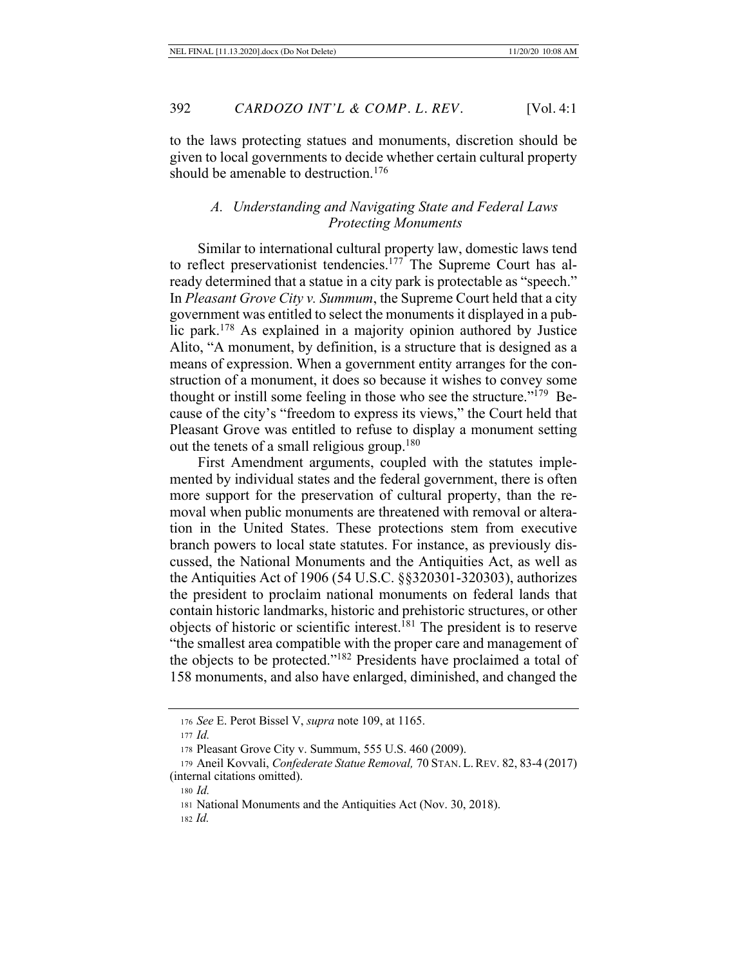to the laws protecting statues and monuments, discretion should be given to local governments to decide whether certain cultural property should be amenable to destruction.<sup>176</sup>

## *A. Understanding and Navigating State and Federal Laws Protecting Monuments*

Similar to international cultural property law, domestic laws tend to reflect preservationist tendencies.<sup>177</sup> The Supreme Court has already determined that a statue in a city park is protectable as "speech." In *Pleasant Grove City v. Summum*, the Supreme Court held that a city government was entitled to select the monuments it displayed in a public park.178 As explained in a majority opinion authored by Justice Alito, "A monument, by definition, is a structure that is designed as a means of expression. When a government entity arranges for the construction of a monument, it does so because it wishes to convey some thought or instill some feeling in those who see the structure."<sup>179</sup> Because of the city's "freedom to express its views," the Court held that Pleasant Grove was entitled to refuse to display a monument setting out the tenets of a small religious group.180

First Amendment arguments, coupled with the statutes implemented by individual states and the federal government, there is often more support for the preservation of cultural property, than the removal when public monuments are threatened with removal or alteration in the United States. These protections stem from executive branch powers to local state statutes. For instance, as previously discussed, the National Monuments and the Antiquities Act, as well as the Antiquities Act of 1906 (54 U.S.C. §§320301-320303), authorizes the president to proclaim national monuments on federal lands that contain historic landmarks, historic and prehistoric structures, or other objects of historic or scientific interest.<sup>181</sup> The president is to reserve "the smallest area compatible with the proper care and management of the objects to be protected."182 Presidents have proclaimed a total of 158 monuments, and also have enlarged, diminished, and changed the

<sup>182</sup> *Id.*

<sup>176</sup> *See* E. Perot Bissel V, *supra* note 109, at 1165.

<sup>177</sup> *Id.*

<sup>178</sup> Pleasant Grove City v. Summum, 555 U.S. 460 (2009).

<sup>179</sup> Aneil Kovvali, *Confederate Statue Removal,* 70 STAN. L.REV. 82, 83-4 (2017) (internal citations omitted).

<sup>180</sup> *Id.*

<sup>181</sup> National Monuments and the Antiquities Act (Nov. 30, 2018).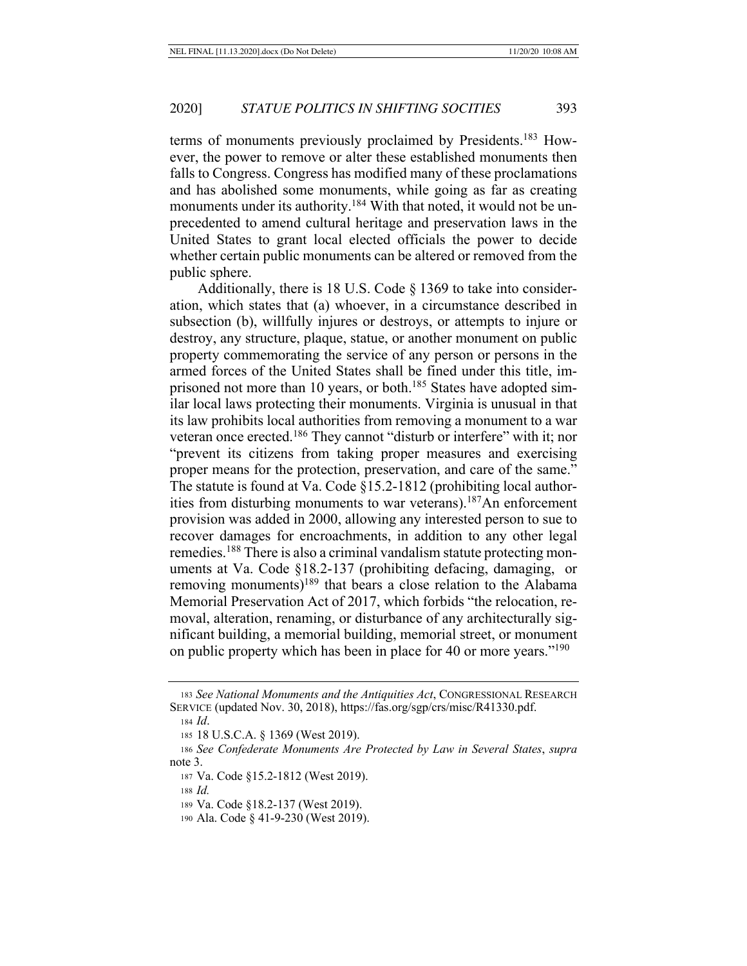terms of monuments previously proclaimed by Presidents.183 However, the power to remove or alter these established monuments then falls to Congress. Congress has modified many of these proclamations and has abolished some monuments, while going as far as creating monuments under its authority.<sup>184</sup> With that noted, it would not be unprecedented to amend cultural heritage and preservation laws in the United States to grant local elected officials the power to decide whether certain public monuments can be altered or removed from the public sphere.

Additionally, there is 18 U.S. Code § 1369 to take into consideration, which states that (a) whoever, in a circumstance described in subsection (b), willfully injures or destroys, or attempts to injure or destroy, any structure, plaque, statue, or another monument on public property commemorating the service of any person or persons in the armed forces of the United States shall be fined under this title, imprisoned not more than 10 years, or both.<sup>185</sup> States have adopted similar local laws protecting their monuments. Virginia is unusual in that its law prohibits local authorities from removing a monument to a war veteran once erected.186 They cannot "disturb or interfere" with it; nor "prevent its citizens from taking proper measures and exercising proper means for the protection, preservation, and care of the same." The statute is found at Va. Code §15.2-1812 (prohibiting local authorities from disturbing monuments to war veterans).187An enforcement provision was added in 2000, allowing any interested person to sue to recover damages for encroachments, in addition to any other legal remedies.<sup>188</sup> There is also a criminal vandalism statute protecting monuments at Va. Code §18.2-137 (prohibiting defacing, damaging, or removing monuments)<sup>189</sup> that bears a close relation to the Alabama Memorial Preservation Act of 2017, which forbids "the relocation, removal, alteration, renaming, or disturbance of any architecturally significant building, a memorial building, memorial street, or monument on public property which has been in place for 40 or more years."<sup>190</sup>

<sup>183</sup> *See National Monuments and the Antiquities Act*, CONGRESSIONAL RESEARCH SERVICE (updated Nov. 30, 2018), https://fas.org/sgp/crs/misc/R41330.pdf.

<sup>184</sup> *Id*.

<sup>185</sup> 18 U.S.C.A. § 1369 (West 2019).

<sup>186</sup> *See Confederate Monuments Are Protected by Law in Several States*, *supra*  note 3.

<sup>187</sup> Va. Code §15.2-1812 (West 2019).

<sup>188</sup> *Id.*

<sup>189</sup> Va. Code §18.2-137 (West 2019).

<sup>190</sup> Ala. Code § 41-9-230 (West 2019).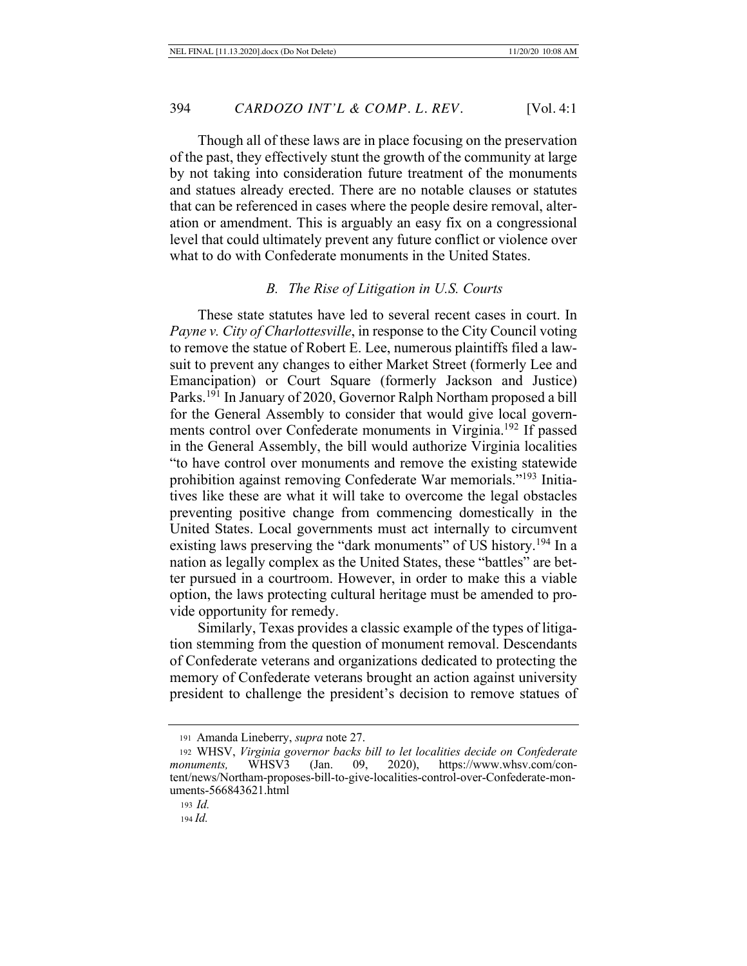Though all of these laws are in place focusing on the preservation of the past, they effectively stunt the growth of the community at large by not taking into consideration future treatment of the monuments and statues already erected. There are no notable clauses or statutes that can be referenced in cases where the people desire removal, alteration or amendment. This is arguably an easy fix on a congressional level that could ultimately prevent any future conflict or violence over what to do with Confederate monuments in the United States.

#### *B. The Rise of Litigation in U.S. Courts*

These state statutes have led to several recent cases in court. In *Payne v. City of Charlottesville*, in response to the City Council voting to remove the statue of Robert E. Lee, numerous plaintiffs filed a lawsuit to prevent any changes to either Market Street (formerly Lee and Emancipation) or Court Square (formerly Jackson and Justice) Parks.<sup>191</sup> In January of 2020, Governor Ralph Northam proposed a bill for the General Assembly to consider that would give local governments control over Confederate monuments in Virginia.192 If passed in the General Assembly, the bill would authorize Virginia localities "to have control over monuments and remove the existing statewide prohibition against removing Confederate War memorials."193 Initiatives like these are what it will take to overcome the legal obstacles preventing positive change from commencing domestically in the United States. Local governments must act internally to circumvent existing laws preserving the "dark monuments" of US history.<sup>194</sup> In a nation as legally complex as the United States, these "battles" are better pursued in a courtroom. However, in order to make this a viable option, the laws protecting cultural heritage must be amended to provide opportunity for remedy.

Similarly, Texas provides a classic example of the types of litigation stemming from the question of monument removal. Descendants of Confederate veterans and organizations dedicated to protecting the memory of Confederate veterans brought an action against university president to challenge the president's decision to remove statues of

<sup>191</sup> Amanda Lineberry, *supra* note 27.

<sup>192</sup> WHSV, *Virginia governor backs bill to let localities decide on Confederate monuments,* WHSV3 (Jan. 09, 2020), https://www.whsv.com/content/news/Northam-proposes-bill-to-give-localities-control-over-Confederate-monuments-566843621.html

<sup>193</sup> *Id.*

<sup>194</sup> *Id.*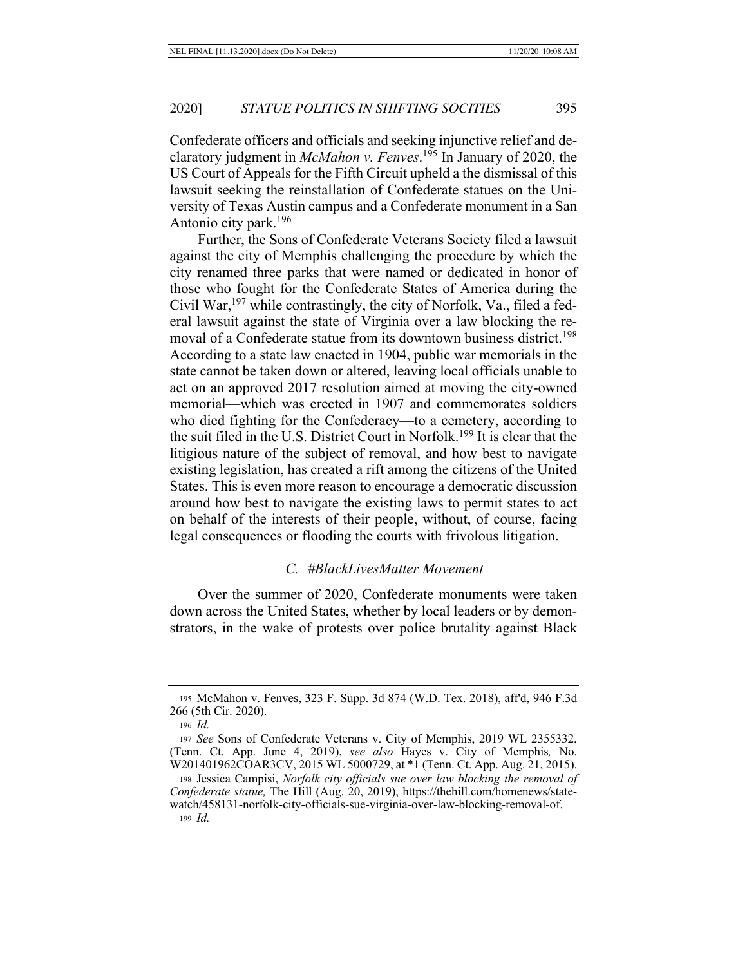Confederate officers and officials and seeking injunctive relief and declaratory judgment in *McMahon v. Fenves*. 195 In January of 2020, the US Court of Appeals for the Fifth Circuit upheld a the dismissal of this lawsuit seeking the reinstallation of Confederate statues on the University of Texas Austin campus and a Confederate monument in a San Antonio city park.196

Further, the Sons of Confederate Veterans Society filed a lawsuit against the city of Memphis challenging the procedure by which the city renamed three parks that were named or dedicated in honor of those who fought for the Confederate States of America during the Civil War,197 while contrastingly, the city of Norfolk, Va., filed a federal lawsuit against the state of Virginia over a law blocking the removal of a Confederate statue from its downtown business district.<sup>198</sup> According to a state law enacted in 1904, public war memorials in the state cannot be taken down or altered, leaving local officials unable to act on an approved 2017 resolution aimed at moving the city-owned memorial—which was erected in 1907 and commemorates soldiers who died fighting for the Confederacy—to a cemetery, according to the suit filed in the U.S. District Court in Norfolk.199 It is clear that the litigious nature of the subject of removal, and how best to navigate existing legislation, has created a rift among the citizens of the United States. This is even more reason to encourage a democratic discussion around how best to navigate the existing laws to permit states to act on behalf of the interests of their people, without, of course, facing legal consequences or flooding the courts with frivolous litigation.

#### *C. #BlackLivesMatter Movement*

Over the summer of 2020, Confederate monuments were taken down across the United States, whether by local leaders or by demonstrators, in the wake of protests over police brutality against Black

<sup>195</sup> McMahon v. Fenves, 323 F. Supp. 3d 874 (W.D. Tex. 2018), aff'd, 946 F.3d 266 (5th Cir. 2020).

<sup>196</sup> *Id.*

<sup>197</sup> *See* Sons of Confederate Veterans v. City of Memphis, 2019 WL 2355332, (Tenn. Ct. App. June 4, 2019), *see also* Hayes v. City of Memphis*,* No. W201401962COAR3CV, 2015 WL 5000729, at \*1 (Tenn. Ct. App. Aug. 21, 2015).

<sup>198</sup> Jessica Campisi, *Norfolk city officials sue over law blocking the removal of Confederate statue,* The Hill (Aug. 20, 2019), https://thehill.com/homenews/statewatch/458131-norfolk-city-officials-sue-virginia-over-law-blocking-removal-of. <sup>199</sup> *Id.*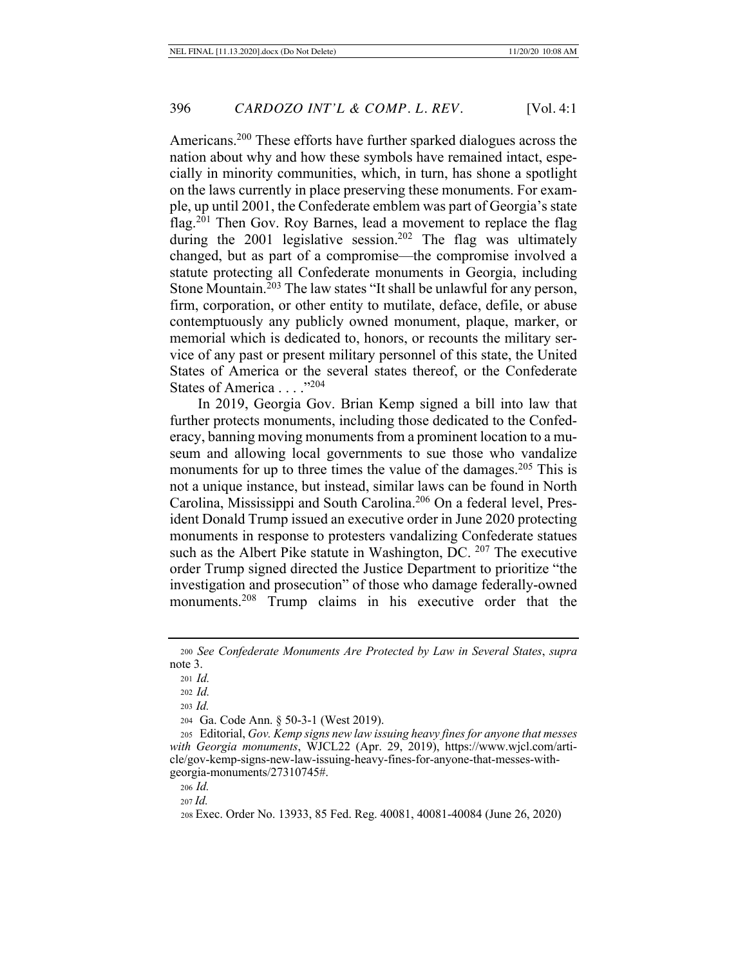Americans.200 These efforts have further sparked dialogues across the nation about why and how these symbols have remained intact, especially in minority communities, which, in turn, has shone a spotlight on the laws currently in place preserving these monuments. For example, up until 2001, the Confederate emblem was part of Georgia's state flag.<sup>201</sup> Then Gov. Roy Barnes, lead a movement to replace the flag during the 2001 legislative session.<sup>202</sup> The flag was ultimately changed, but as part of a compromise—the compromise involved a statute protecting all Confederate monuments in Georgia, including Stone Mountain.203 The law states "It shall be unlawful for any person, firm, corporation, or other entity to mutilate, deface, defile, or abuse contemptuously any publicly owned monument, plaque, marker, or memorial which is dedicated to, honors, or recounts the military service of any past or present military personnel of this state, the United States of America or the several states thereof, or the Confederate States of America . . . . "204

In 2019, Georgia Gov. Brian Kemp signed a bill into law that further protects monuments, including those dedicated to the Confederacy, banning moving monuments from a prominent location to a museum and allowing local governments to sue those who vandalize monuments for up to three times the value of the damages.<sup>205</sup> This is not a unique instance, but instead, similar laws can be found in North Carolina, Mississippi and South Carolina.206 On a federal level, President Donald Trump issued an executive order in June 2020 protecting monuments in response to protesters vandalizing Confederate statues such as the Albert Pike statute in Washington, DC. <sup>207</sup> The executive order Trump signed directed the Justice Department to prioritize "the investigation and prosecution" of those who damage federally-owned monuments.208 Trump claims in his executive order that the

<sup>202</sup> *Id.*

<sup>203</sup> *Id.*

204 Ga. Code Ann. § 50-3-1 (West 2019).

205 Editorial, *Gov. Kemp signs new law issuing heavy fines for anyone that messes with Georgia monuments*, WJCL22 (Apr. 29, 2019), https://www.wjcl.com/article/gov-kemp-signs-new-law-issuing-heavy-fines-for-anyone-that-messes-withgeorgia-monuments/27310745#.

<sup>206</sup> *Id.*

<sup>207</sup> *Id.*

<sup>208</sup> Exec. Order No. 13933, 85 Fed. Reg. 40081, 40081-40084 (June 26, 2020)

<sup>200</sup> *See Confederate Monuments Are Protected by Law in Several States*, *supra*  note 3.

<sup>201</sup> *Id.*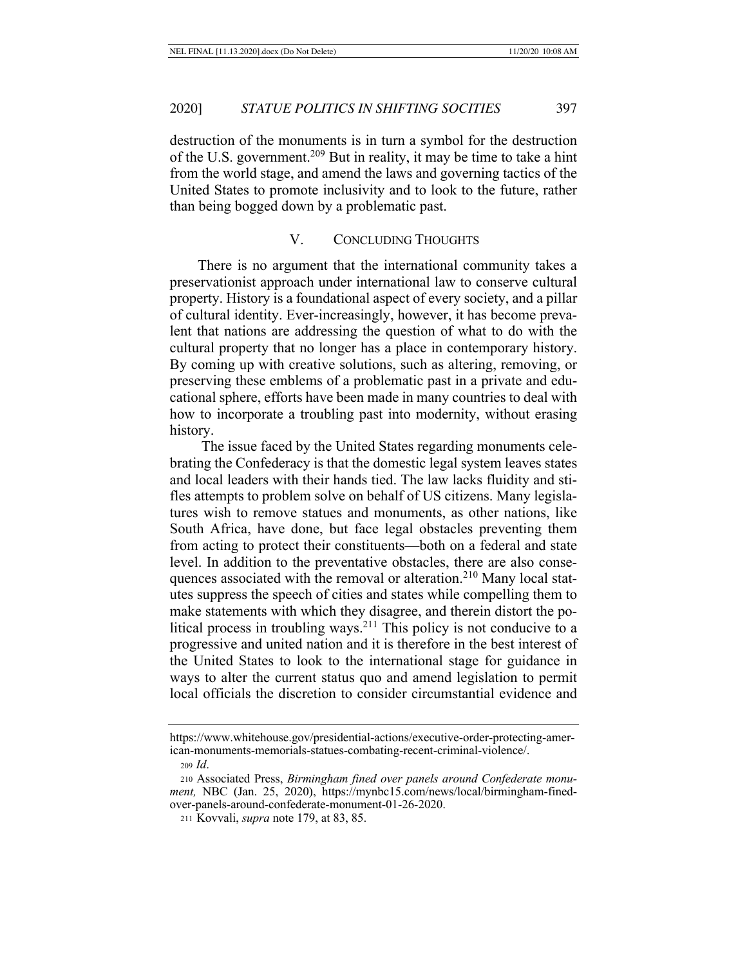destruction of the monuments is in turn a symbol for the destruction of the U.S. government.209 But in reality, it may be time to take a hint from the world stage, and amend the laws and governing tactics of the United States to promote inclusivity and to look to the future, rather than being bogged down by a problematic past.

### V. CONCLUDING THOUGHTS

There is no argument that the international community takes a preservationist approach under international law to conserve cultural property. History is a foundational aspect of every society, and a pillar of cultural identity. Ever-increasingly, however, it has become prevalent that nations are addressing the question of what to do with the cultural property that no longer has a place in contemporary history. By coming up with creative solutions, such as altering, removing, or preserving these emblems of a problematic past in a private and educational sphere, efforts have been made in many countries to deal with how to incorporate a troubling past into modernity, without erasing history.

 The issue faced by the United States regarding monuments celebrating the Confederacy is that the domestic legal system leaves states and local leaders with their hands tied. The law lacks fluidity and stifles attempts to problem solve on behalf of US citizens. Many legislatures wish to remove statues and monuments, as other nations, like South Africa, have done, but face legal obstacles preventing them from acting to protect their constituents—both on a federal and state level. In addition to the preventative obstacles, there are also consequences associated with the removal or alteration.<sup>210</sup> Many local statutes suppress the speech of cities and states while compelling them to make statements with which they disagree, and therein distort the political process in troubling ways.<sup>211</sup> This policy is not conducive to a progressive and united nation and it is therefore in the best interest of the United States to look to the international stage for guidance in ways to alter the current status quo and amend legislation to permit local officials the discretion to consider circumstantial evidence and

https://www.whitehouse.gov/presidential-actions/executive-order-protecting-american-monuments-memorials-statues-combating-recent-criminal-violence/. <sup>209</sup> *Id*.

<sup>210</sup> Associated Press, *Birmingham fined over panels around Confederate monument,* NBC (Jan. 25, 2020), https://mynbc15.com/news/local/birmingham-finedover-panels-around-confederate-monument-01-26-2020.

<sup>211</sup> Kovvali, *supra* note 179, at 83, 85.